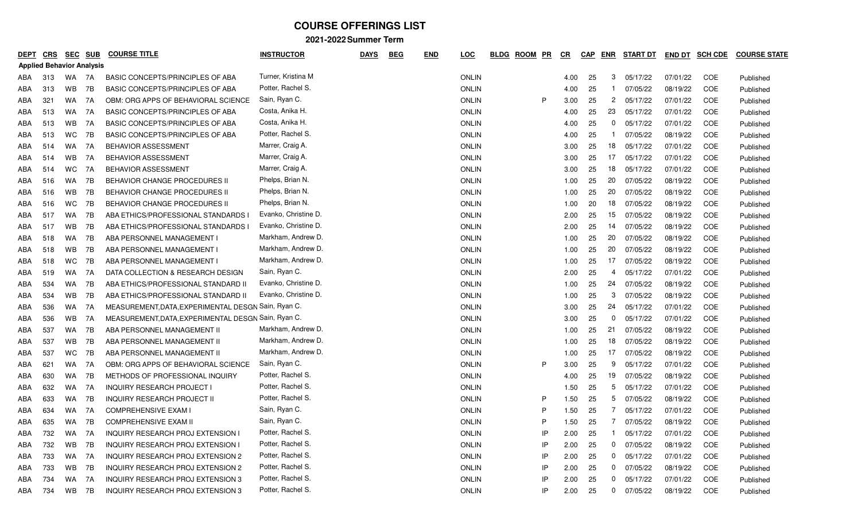| <b>DEPT</b>                      | <u>CRS</u> | <u>SEC</u> | <b>SUB</b> | <b>COURSE TITLE</b>                                 | <b>INSTRUCTOR</b>    | <b>DAYS</b> | <b>BEG</b> | <u>END</u> | <u>LOC</u>   | <b>BLDG</b> | <b>ROOM</b> | <u>PR</u><br><u>CR</u> | <b>CAP</b> | ENR            | <b>START DT</b> | <b>END DT</b> | <b>SCH CDE</b> | <b>COURSE STATE</b> |
|----------------------------------|------------|------------|------------|-----------------------------------------------------|----------------------|-------------|------------|------------|--------------|-------------|-------------|------------------------|------------|----------------|-----------------|---------------|----------------|---------------------|
| <b>Applied Behavior Analysis</b> |            |            |            |                                                     |                      |             |            |            |              |             |             |                        |            |                |                 |               |                |                     |
| ABA                              | 313        | WA         | 7A         | BASIC CONCEPTS/PRINCIPLES OF ABA                    | Turner, Kristina M   |             |            |            | <b>ONLIN</b> |             |             |                        | 25<br>4.00 | 3              | 05/17/22        | 07/01/22      | COE            | Published           |
| ABA                              | 313        | WB         | 7B         | BASIC CONCEPTS/PRINCIPLES OF ABA                    | Potter, Rachel S.    |             |            |            | <b>ONLIN</b> |             |             |                        | 25<br>4.00 | -1             | 07/05/22        | 08/19/22      | <b>COE</b>     | Published           |
| ABA                              | 321        | <b>WA</b>  | 7A         | OBM: ORG APPS OF BEHAVIORAL SCIENCE                 | Sain, Ryan C.        |             |            |            | <b>ONLIN</b> |             | P           |                        | 25<br>3.00 | $\mathbf{2}$   | 05/17/22        | 07/01/22      | COE            | Published           |
| ABA                              | 513        | WA         | 7A         | <b>BASIC CONCEPTS/PRINCIPLES OF ABA</b>             | Costa, Anika H.      |             |            |            | <b>ONLIN</b> |             |             |                        | 25<br>4.00 | 23             | 05/17/22        | 07/01/22      | COE            | Published           |
| ABA                              | 513        | <b>WB</b>  | 7A         | BASIC CONCEPTS/PRINCIPLES OF ABA                    | Costa, Anika H.      |             |            |            | <b>ONLIN</b> |             |             |                        | 25<br>4.00 | 0              | 05/17/22        | 07/01/22      | COE            | Published           |
| ABA                              | 513        | WC.        | 7B         | <b>BASIC CONCEPTS/PRINCIPLES OF ABA</b>             | Potter, Rachel S.    |             |            |            | <b>ONLIN</b> |             |             |                        | 25<br>4.00 | -1             | 07/05/22        | 08/19/22      | COE            | Published           |
| ABA                              | 514        | <b>WA</b>  | 7A         | <b>BEHAVIOR ASSESSMENT</b>                          | Marrer, Craig A.     |             |            |            | ONLIN        |             |             |                        | 25<br>3.00 | 18             | 05/17/22        | 07/01/22      | COE            | Published           |
| ABA                              | 514        | WB         | 7A         | <b>BEHAVIOR ASSESSMENT</b>                          | Marrer, Craig A.     |             |            |            | <b>ONLIN</b> |             |             |                        | 25<br>3.00 | 17             | 05/17/22        | 07/01/22      | COE            | Published           |
| ABA                              | 514        | WC.        | 7A         | <b>BEHAVIOR ASSESSMENT</b>                          | Marrer, Craig A.     |             |            |            | <b>ONLIN</b> |             |             |                        | 25<br>3.00 | 18             | 05/17/22        | 07/01/22      | COE            | Published           |
| ABA                              | 516        | <b>WA</b>  | 7B         | <b>BEHAVIOR CHANGE PROCEDURES II</b>                | Phelps, Brian N.     |             |            |            | <b>ONLIN</b> |             |             |                        | 25<br>1.00 | 20             | 07/05/22        | 08/19/22      | COE            | Published           |
| ABA                              | 516        | <b>WB</b>  | 7B         | BEHAVIOR CHANGE PROCEDURES II                       | Phelps, Brian N.     |             |            |            | <b>ONLIN</b> |             |             |                        | 1.00<br>25 | 20             | 07/05/22        | 08/19/22      | COE            | Published           |
| ABA                              | 516        | WC.        | 7B         | <b>BEHAVIOR CHANGE PROCEDURES II</b>                | Phelps, Brian N.     |             |            |            | <b>ONLIN</b> |             |             |                        | 20<br>1.00 | 18             | 07/05/22        | 08/19/22      | COE            | Published           |
| ABA                              | 517        | <b>WA</b>  | 7B         | ABA ETHICS/PROFESSIONAL STANDARDS                   | Evanko, Christine D. |             |            |            | <b>ONLIN</b> |             |             | 2.00                   | 25         | 15             | 07/05/22        | 08/19/22      | COE            | Published           |
| ABA                              | 517        | WB         | 7B         | ABA ETHICS/PROFESSIONAL STANDARDS                   | Evanko, Christine D. |             |            |            | <b>ONLIN</b> |             |             |                        | 25<br>2.00 | 14             | 07/05/22        | 08/19/22      | COE            | Published           |
| ABA                              | 518        | WA.        | 7В         | ABA PERSONNEL MANAGEMENT I                          | Markham, Andrew D.   |             |            |            | <b>ONLIN</b> |             |             |                        | 25<br>1.00 | 20             | 07/05/22        | 08/19/22      | COE            | Published           |
| ABA                              | 518        | <b>WB</b>  | 7B         | ABA PERSONNEL MANAGEMENT I                          | Markham, Andrew D.   |             |            |            | <b>ONLIN</b> |             |             |                        | 25<br>1.00 | 20             | 07/05/22        | 08/19/22      | COE            | Published           |
| ABA                              | 518        | <b>WC</b>  | 7B         | ABA PERSONNEL MANAGEMENT I                          | Markham, Andrew D.   |             |            |            | ONLIN        |             |             |                        | 25<br>1.00 | 17             | 07/05/22        | 08/19/22      | <b>COE</b>     | Published           |
| ABA                              | 519        | <b>WA</b>  | 7A         | DATA COLLECTION & RESEARCH DESIGN                   | Sain, Ryan C.        |             |            |            | ONLIN        |             |             |                        | 25<br>2.00 | 4              | 05/17/22        | 07/01/22      | <b>COE</b>     | Published           |
| ABA                              | 534        | <b>WA</b>  | 7B         | ABA ETHICS/PROFESSIONAL STANDARD II                 | Evanko, Christine D. |             |            |            | <b>ONLIN</b> |             |             |                        | 25<br>1.00 | 24             | 07/05/22        | 08/19/22      | COE            | Published           |
| ABA                              | 534        | WB         | 7B         | ABA ETHICS/PROFESSIONAL STANDARD II                 | Evanko, Christine D. |             |            |            | <b>ONLIN</b> |             |             |                        | 25<br>1.00 | 3              | 07/05/22        | 08/19/22      | COE            | Published           |
| ABA                              | 536        | WA         | 7A         | MEASUREMENT, DATA, EXPERIMENTAL DESGN Sain, Ryan C. |                      |             |            |            | <b>ONLIN</b> |             |             |                        | 25<br>3.00 | 24             | 05/17/22        | 07/01/22      | COE            | Published           |
| ABA                              | 536        | WB         | 7A         | MEASUREMENT, DATA, EXPERIMENTAL DESGN Sain, Ryan C. |                      |             |            |            | <b>ONLIN</b> |             |             |                        | 25<br>3.00 | 0              | 05/17/22        | 07/01/22      | COE            | Published           |
| ABA                              | 537        | <b>WA</b>  | 7B         | ABA PERSONNEL MANAGEMENT II                         | Markham, Andrew D.   |             |            |            | <b>ONLIN</b> |             |             |                        | 25<br>1.00 | 21             | 07/05/22        | 08/19/22      | COE            | Published           |
| ABA                              | 537        | <b>WB</b>  | 7B         | ABA PERSONNEL MANAGEMENT II                         | Markham, Andrew D.   |             |            |            | <b>ONLIN</b> |             |             |                        | 25<br>1.00 | 18             | 07/05/22        | 08/19/22      | COE            | Published           |
| ABA                              | 537        | <b>WC</b>  | 7B         | ABA PERSONNEL MANAGEMENT II                         | Markham, Andrew D.   |             |            |            | <b>ONLIN</b> |             |             |                        | 25<br>1.00 | 17             | 07/05/22        | 08/19/22      | COE            | Published           |
| ABA                              | 621        | <b>WA</b>  | 7A         | OBM: ORG APPS OF BEHAVIORAL SCIENCE                 | Sain, Ryan C.        |             |            |            | <b>ONLIN</b> |             | P           |                        | 3.00<br>25 | 9              | 05/17/22        | 07/01/22      | COE            | Published           |
| ABA                              | 630        | <b>WA</b>  | 7B         | METHODS OF PROFESSIONAL INQUIRY                     | Potter, Rachel S.    |             |            |            | <b>ONLIN</b> |             |             |                        | 25<br>4.00 | 19             | 07/05/22        | 08/19/22      | COE            | Published           |
| ABA                              | 632        | <b>WA</b>  | 7A         | <b>INQUIRY RESEARCH PROJECT I</b>                   | Potter, Rachel S.    |             |            |            | <b>ONLIN</b> |             |             |                        | 25<br>1.50 | 5              | 05/17/22        | 07/01/22      | COE            | Published           |
| ABA                              | 633        | WA         | 7B         | <b>INQUIRY RESEARCH PROJECT II</b>                  | Potter, Rachel S.    |             |            |            | <b>ONLIN</b> |             | P           |                        | 1.50<br>25 | 5              | 07/05/22        | 08/19/22      | COE            | Published           |
| ABA                              | 634        | WA         | 7A         | <b>COMPREHENSIVE EXAM I</b>                         | Sain, Ryan C.        |             |            |            | <b>ONLIN</b> |             | P           |                        | 25<br>1.50 | $\overline{7}$ | 05/17/22        | 07/01/22      | COE            | Published           |
| ABA                              | 635        | <b>WA</b>  | 7B         | <b>COMPREHENSIVE EXAM II</b>                        | Sain, Ryan C.        |             |            |            | <b>ONLIN</b> |             | P           |                        | 25<br>1.50 | $\overline{7}$ | 07/05/22        | 08/19/22      | COE            | Published           |
| ABA                              | 732        | <b>WA</b>  | 7A         | INQUIRY RESEARCH PROJ EXTENSION I                   | Potter, Rachel S.    |             |            |            | ONLIN        |             |             | ΙP                     | 2.00<br>25 | -1             | 05/17/22        | 07/01/22      | COE            | Published           |
| ABA                              | 732        | <b>WB</b>  | 7B         | <b>INQUIRY RESEARCH PROJ EXTENSION I</b>            | Potter, Rachel S.    |             |            |            | <b>ONLIN</b> |             | ΙP          |                        | 2.00<br>25 | 0              | 07/05/22        | 08/19/22      | COE            | Published           |
| ABA                              | 733        | <b>WA</b>  | 7A         | <b>INQUIRY RESEARCH PROJ EXTENSION 2</b>            | Potter, Rachel S.    |             |            |            | <b>ONLIN</b> |             |             | IP                     | 2.00<br>25 | 0              | 05/17/22        | 07/01/22      | COE            | Published           |
| ABA                              | 733        | WB         | 7B         | <b>INQUIRY RESEARCH PROJ EXTENSION 2</b>            | Potter, Rachel S.    |             |            |            | <b>ONLIN</b> |             |             | IP                     | 2.00<br>25 | 0              | 07/05/22        | 08/19/22      | COE            | Published           |
| ABA                              | 734        | <b>WA</b>  | 7A         | <b>INQUIRY RESEARCH PROJ EXTENSION 3</b>            | Potter, Rachel S.    |             |            |            | <b>ONLIN</b> |             | ΙP          |                        | 2.00<br>25 | 0              | 05/17/22        | 07/01/22      | COE            | Published           |
| ABA                              | 734        | <b>WB</b>  | 7B         | <b>INQUIRY RESEARCH PROJ EXTENSION 3</b>            | Potter, Rachel S.    |             |            |            | <b>ONLIN</b> |             |             | IP                     | 2.00<br>25 | 0              | 07/05/22        | 08/19/22      | COE            | Published           |
|                                  |            |            |            |                                                     |                      |             |            |            |              |             |             |                        |            |                |                 |               |                |                     |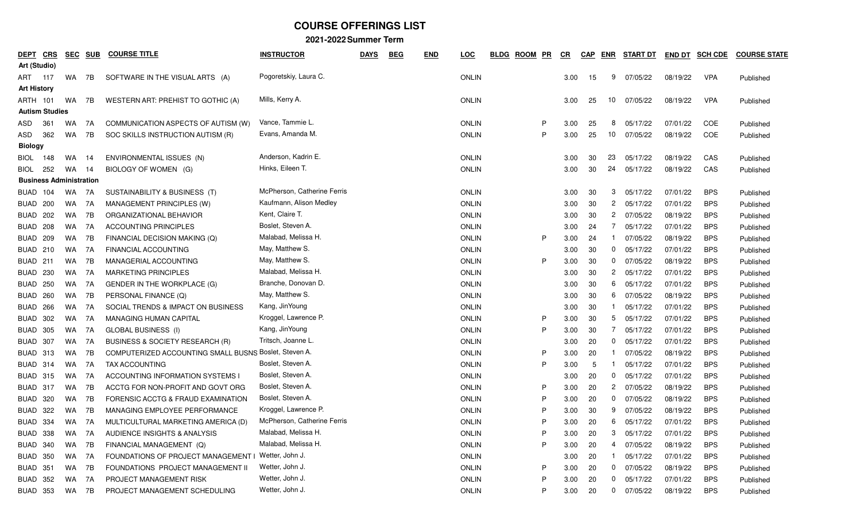| <u>DEPT</u>                    | <b>CRS</b> | <b>SEC</b> | <b>SUB</b> | <b>COURSE TITLE</b>                                   | <b>INSTRUCTOR</b>           | <b>DAYS</b> | <b>BEG</b> | <b>END</b> | <u>LOC</u>   | <b>BLDG</b> | <b>ROOM</b> | <u>PR</u> | $_{CR}$ | <b>CAP</b> | <b>ENR</b>   | <b>START DT</b> | <b>END DT</b> | <b>SCH CDE</b> | <b>COURSE STATE</b> |
|--------------------------------|------------|------------|------------|-------------------------------------------------------|-----------------------------|-------------|------------|------------|--------------|-------------|-------------|-----------|---------|------------|--------------|-----------------|---------------|----------------|---------------------|
| Art (Studio)                   |            |            |            |                                                       |                             |             |            |            |              |             |             |           |         |            |              |                 |               |                |                     |
| ART<br>117                     |            | WA         | 7B         | SOFTWARE IN THE VISUAL ARTS (A)                       | Pogoretskiy, Laura C.       |             |            |            | <b>ONLIN</b> |             |             |           | 3.00    | 15         | 9            | 07/05/22        | 08/19/22      | <b>VPA</b>     | Published           |
| <b>Art History</b>             |            |            |            |                                                       |                             |             |            |            |              |             |             |           |         |            |              |                 |               |                |                     |
| <b>ARTH 101</b>                |            | WA         | 7B         | WESTERN ART: PREHIST TO GOTHIC (A)                    | Mills, Kerry A.             |             |            |            | <b>ONLIN</b> |             |             |           | 3.00    | 25         | 10           | 07/05/22        | 08/19/22      | <b>VPA</b>     | Published           |
| <b>Autism Studies</b>          |            |            |            |                                                       |                             |             |            |            |              |             |             |           |         |            |              |                 |               |                |                     |
| 361<br>ASD                     |            | WA.        | 7A         | COMMUNICATION ASPECTS OF AUTISM (W)                   | Vance, Tammie L.            |             |            |            | <b>ONLIN</b> |             |             | P         | 3.00    | 25         | 8            | 05/17/22        | 07/01/22      | COE            | Published           |
| ASD                            | 362        | WA         | 7B         | SOC SKILLS INSTRUCTION AUTISM (R)                     | Evans, Amanda M.            |             |            |            | <b>ONLIN</b> |             |             | P         | 3.00    | 25         | 10           | 07/05/22        | 08/19/22      | COE            | Published           |
| <b>Biology</b>                 |            |            |            |                                                       |                             |             |            |            |              |             |             |           |         |            |              |                 |               |                |                     |
| <b>BIOL</b>                    | 148        | WA         | 14         | ENVIRONMENTAL ISSUES (N)                              | Anderson, Kadrin E.         |             |            |            | <b>ONLIN</b> |             |             |           | 3.00    | 30         | 23           | 05/17/22        | 08/19/22      | CAS            | Published           |
| <b>BIOL</b>                    | 252        | WA         | 14         | BIOLOGY OF WOMEN (G)                                  | Hinks, Eileen T.            |             |            |            | <b>ONLIN</b> |             |             |           | 3.00    | 30         | 24           | 05/17/22        | 08/19/22      | CAS            | Published           |
| <b>Business Administration</b> |            |            |            |                                                       |                             |             |            |            |              |             |             |           |         |            |              |                 |               |                |                     |
| BUAD                           | 104        | WA.        | 7A         | SUSTAINABILITY & BUSINESS (T)                         | McPherson, Catherine Ferris |             |            |            | <b>ONLIN</b> |             |             |           | 3.00    | 30         | 3            | 05/17/22        | 07/01/22      | <b>BPS</b>     | Published           |
| BUAD 200                       |            | WA         | 7A         | MANAGEMENT PRINCIPLES (W)                             | Kaufmann, Alison Medley     |             |            |            | <b>ONLIN</b> |             |             |           | 3.00    | 30         | $^{2}$       | 05/17/22        | 07/01/22      | <b>BPS</b>     | Published           |
| <b>BUAD 202</b>                |            | WA         | 7B         | ORGANIZATIONAL BEHAVIOR                               | Kent, Claire T.             |             |            |            | <b>ONLIN</b> |             |             |           | 3.00    | -30        | $^{2}$       | 07/05/22        | 08/19/22      | <b>BPS</b>     | Published           |
| BUAD<br>208                    |            | WA         | 7A         | <b>ACCOUNTING PRINCIPLES</b>                          | Boslet, Steven A.           |             |            |            | <b>ONLIN</b> |             |             |           | 3.00    | 24         | 7            | 05/17/22        | 07/01/22      | <b>BPS</b>     | Published           |
| BUAD<br>209                    |            | WA.        | 7B         | FINANCIAL DECISION MAKING (Q)                         | Malabad, Melissa H.         |             |            |            | <b>ONLIN</b> |             |             | P         | 3.00    | 24         |              | 07/05/22        | 08/19/22      | <b>BPS</b>     | Published           |
| BUAD 210                       |            | WA         | 7A         | FINANCIAL ACCOUNTING                                  | May, Matthew S.             |             |            |            | <b>ONLIN</b> |             |             |           | 3.00    | 30         | $\mathbf{0}$ | 05/17/22        | 07/01/22      | <b>BPS</b>     | Published           |
| BUAD 211                       |            | WA         | 7B         | MANAGERIAL ACCOUNTING                                 | May, Matthew S.             |             |            |            | <b>ONLIN</b> |             |             | P         | 3.00    | -30        |              | $0$ $07/05/22$  | 08/19/22      | <b>BPS</b>     | Published           |
| <b>BUAD</b><br>230             |            | WA         | 7A         | <b>MARKETING PRINCIPLES</b>                           | Malabad, Melissa H.         |             |            |            | <b>ONLIN</b> |             |             |           | 3.00    | 30         | $^{2}$       | 05/17/22        | 07/01/22      | <b>BPS</b>     | Published           |
| <b>BUAD</b>                    | 250        | WA         | 7A         | <b>GENDER IN THE WORKPLACE (G)</b>                    | Branche, Donovan D.         |             |            |            | <b>ONLIN</b> |             |             |           | 3.00    | 30         | 6.           | 05/17/22        | 07/01/22      | <b>BPS</b>     | Published           |
| BUAD 260                       |            | WA         | 7B         | PERSONAL FINANCE (Q)                                  | May, Matthew S.             |             |            |            | <b>ONLIN</b> |             |             |           | 3.00    | 30         | 6            | 07/05/22        | 08/19/22      | <b>BPS</b>     | Published           |
| BUAD 266                       |            | WA         | 7A         | SOCIAL TRENDS & IMPACT ON BUSINESS                    | Kang, JinYoung              |             |            |            | <b>ONLIN</b> |             |             |           | 3.00    | 30         |              | 05/17/22        | 07/01/22      | <b>BPS</b>     | Published           |
| <b>BUAD</b><br>302             |            | WA         | 7A         | <b>MANAGING HUMAN CAPITAL</b>                         | Kroggel, Lawrence P.        |             |            |            | <b>ONLIN</b> |             |             | P         | 3.00    | 30         | 5            | 05/17/22        | 07/01/22      | <b>BPS</b>     | Published           |
| BUAD<br>305                    |            | WA         | 7A         | <b>GLOBAL BUSINESS (I)</b>                            | Kang, JinYoung              |             |            |            | <b>ONLIN</b> |             |             | P         | 3.00    | 30         | 7            | 05/17/22        | 07/01/22      | <b>BPS</b>     | Published           |
| BUAD 307                       |            | WA         | 7A         | BUSINESS & SOCIETY RESEARCH (R)                       | Tritsch, Joanne L.          |             |            |            | <b>ONLIN</b> |             |             |           | 3.00    | 20         | $\mathbf{0}$ | 05/17/22        | 07/01/22      | <b>BPS</b>     | Published           |
| <b>BUAD 313</b>                |            | WA         | 7B         | COMPUTERIZED ACCOUNTING SMALL BUSNS Boslet, Steven A. |                             |             |            |            | <b>ONLIN</b> |             |             | P         | 3.00    | 20         |              | 07/05/22        | 08/19/22      | <b>BPS</b>     | Published           |
| BUAD 314                       |            | WA         | 7A         | TAX ACCOUNTING                                        | Boslet, Steven A.           |             |            |            | <b>ONLIN</b> |             |             | P         | 3.00    | -5         |              | 05/17/22        | 07/01/22      | <b>BPS</b>     | Published           |
| <b>BUAD 315</b>                |            | WA         | 7A         | ACCOUNTING INFORMATION SYSTEMS I                      | Boslet, Steven A.           |             |            |            | <b>ONLIN</b> |             |             |           | 3.00    | 20         | $\mathbf{0}$ | 05/17/22        | 07/01/22      | <b>BPS</b>     | Published           |
| <b>BUAD 317</b>                |            | WA         | 7B         | ACCTG FOR NON-PROFIT AND GOVT ORG                     | Boslet, Steven A.           |             |            |            | <b>ONLIN</b> |             |             | P         | 3.00    | 20         | $^{2}$       | 07/05/22        | 08/19/22      | <b>BPS</b>     | Published           |
| <b>BUAD 320</b>                |            | WA         | 7B         | FORENSIC ACCTG & FRAUD EXAMINATION                    | Boslet, Steven A.           |             |            |            | <b>ONLIN</b> |             |             | P         | 3.00    | 20         | $\mathbf{0}$ | 07/05/22        | 08/19/22      | <b>BPS</b>     | Published           |
| <b>BUAD 322</b>                |            | WA         | 7B         | MANAGING EMPLOYEE PERFORMANCE                         | Kroggel, Lawrence P.        |             |            |            | <b>ONLIN</b> |             |             | P         | 3.00    | 30         | 9            | 07/05/22        | 08/19/22      | <b>BPS</b>     | Published           |
| BUAD 334                       |            | WA         | 7A         | MULTICULTURAL MARKETING AMERICA (D)                   | McPherson, Catherine Ferris |             |            |            | <b>ONLIN</b> |             |             | P         | 3.00    | 20         | 6.           | 05/17/22        | 07/01/22      | <b>BPS</b>     | Published           |
| BUAD 338                       |            | WA         | 7A         | AUDIENCE INSIGHTS & ANALYSIS                          | Malabad, Melissa H.         |             |            |            | ONLIN        |             |             | P         | 3.00    | 20         | 3            | 05/17/22        | 07/01/22      | <b>BPS</b>     | Published           |
| BUAD 340                       |            | WA         | 7B         | FINANCIAL MANAGEMENT (Q)                              | Malabad, Melissa H.         |             |            |            | <b>ONLIN</b> |             |             | P         | 3.00    | 20         | 4            | 07/05/22        | 08/19/22      | <b>BPS</b>     | Published           |
| BUAD 350                       |            | WA         | 7A         | <b>FOUNDATIONS OF PROJECT MANAGEMENT I</b>            | Wetter, John J.             |             |            |            | ONLIN        |             |             |           | 3.00    | 20         |              | 05/17/22        | 07/01/22      | <b>BPS</b>     | Published           |
| <b>BUAD 351</b>                |            | WA         | 7B         | FOUNDATIONS PROJECT MANAGEMENT II                     | Wetter, John J.             |             |            |            | <b>ONLIN</b> |             |             | P         | 3.00    | 20         |              | $0$ 07/05/22    | 08/19/22      | <b>BPS</b>     | Published           |
| BUAD 352                       |            | WA         | 7A         | PROJECT MANAGEMENT RISK                               | Wetter, John J.             |             |            |            | ONLIN        |             |             | P         | 3.00    | -20        |              | $0$ $05/17/22$  | 07/01/22      | <b>BPS</b>     | Published           |
| BUAD 353                       |            | WA         | 7B         | PROJECT MANAGEMENT SCHEDULING                         | Wetter, John J.             |             |            |            | ONLIN        |             |             | P         | 3.00    | - 20       |              | 0 07/05/22      | 08/19/22      | <b>BPS</b>     | Published           |
|                                |            |            |            |                                                       |                             |             |            |            |              |             |             |           |         |            |              |                 |               |                |                     |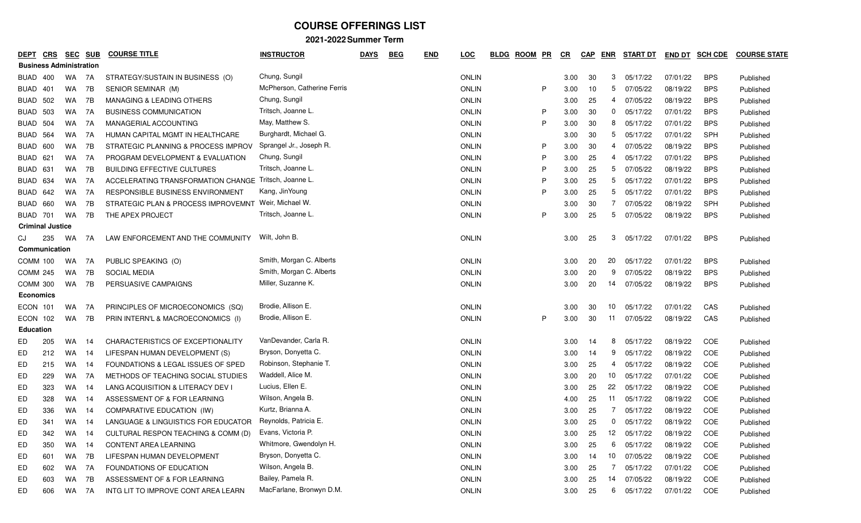| <b>DEPT</b> | <b>CRS</b>                     | <u>SEC</u> | <b>SUB</b> | <b>COURSE TITLE</b>                                  | <b>INSTRUCTOR</b>           | <b>DAYS</b> | <b>BEG</b> | <b>END</b> | <b>LOC</b>   | <b>ROOM</b><br><b>BLDG</b> | <u>PR</u> | $_{CR}$ | <b>CAP</b> | <b>ENR</b>     | <b>START DT</b> | <b>END DT</b> | <b>SCH CDE</b> | <b>COURSE STATE</b> |
|-------------|--------------------------------|------------|------------|------------------------------------------------------|-----------------------------|-------------|------------|------------|--------------|----------------------------|-----------|---------|------------|----------------|-----------------|---------------|----------------|---------------------|
|             | <b>Business Administration</b> |            |            |                                                      |                             |             |            |            |              |                            |           |         |            |                |                 |               |                |                     |
| BUAD        | 400                            | WA         | 7A         | STRATEGY/SUSTAIN IN BUSINESS (O)                     | Chung, Sungil               |             |            |            | <b>ONLIN</b> |                            |           | 3.00    | 30         | 3              | 05/17/22        | 07/01/22      | <b>BPS</b>     | Published           |
| BUAD        | 401                            | WA         | 7B         | SENIOR SEMINAR (M)                                   | McPherson, Catherine Ferris |             |            |            | <b>ONLIN</b> |                            | P         | 3.00    | 10         | 5              | 07/05/22        | 08/19/22      | <b>BPS</b>     | Published           |
| BUAD        | 502                            | WA         | 7B         | MANAGING & LEADING OTHERS                            | Chung, Sungil               |             |            |            | <b>ONLIN</b> |                            |           | 3.00    | 25         | 4              | 07/05/22        | 08/19/22      | <b>BPS</b>     | Published           |
| BUAD        | 503                            | WA         | 7A         | <b>BUSINESS COMMUNICATION</b>                        | Tritsch, Joanne L.          |             |            |            | <b>ONLIN</b> |                            | P         | 3.00    | -30        | 0              | 05/17/22        | 07/01/22      | <b>BPS</b>     | Published           |
| BUAD        | 504                            | WA         | 7A         | MANAGERIAL ACCOUNTING                                | May, Matthew S.             |             |            |            | <b>ONLIN</b> |                            | P         | 3.00    | -30        | 8              | 05/17/22        | 07/01/22      | <b>BPS</b>     | Published           |
| BUAD        | 564                            | WA         | 7A         | HUMAN CAPITAL MGMT IN HEALTHCARE                     | Burghardt, Michael G.       |             |            |            | <b>ONLIN</b> |                            |           | 3.00    | 30         | 5              | 05/17/22        | 07/01/22      | SPH            | Published           |
| BUAD        | 600                            | WA         | 7B         | STRATEGIC PLANNING & PROCESS IMPROV                  | Sprangel Jr., Joseph R.     |             |            |            | <b>ONLIN</b> |                            | P         | 3.00    | 30         | 4              | 07/05/22        | 08/19/22      | <b>BPS</b>     | Published           |
| BUAD        | 621                            | WA         | 7A         | PROGRAM DEVELOPMENT & EVALUATION                     | Chung, Sungil               |             |            |            | <b>ONLIN</b> |                            | P         | 3.00    | 25         | 4              | 05/17/22        | 07/01/22      | <b>BPS</b>     | Published           |
|             | BUAD 631                       | WA         | 7B         | <b>BUILDING EFFECTIVE CULTURES</b>                   | Tritsch, Joanne L.          |             |            |            | <b>ONLIN</b> |                            | P         | 3.00    | 25         | 5              | 07/05/22        | 08/19/22      | <b>BPS</b>     | Published           |
| BUAD        | 634                            | WA         | 7A         | ACCELERATING TRANSFORMATION CHANGE Tritsch, Joanne L |                             |             |            |            | <b>ONLIN</b> |                            | P         | 3.00    | 25         | 5              | 05/17/22        | 07/01/22      | <b>BPS</b>     | Published           |
| BUAD        | 642                            | WA         | 7A         | RESPONSIBLE BUSINESS ENVIRONMENT                     | Kang, JinYoung              |             |            |            | <b>ONLIN</b> |                            | P         | 3.00    | 25         | 5              | 05/17/22        | 07/01/22      | <b>BPS</b>     | Published           |
| BUAD        | 660                            | WA         | 7B         | STRATEGIC PLAN & PROCESS IMPROVEMNT                  | Weir, Michael W.            |             |            |            | <b>ONLIN</b> |                            |           | 3.00    | 30         | 7              | 07/05/22        | 08/19/22      | SPH            | Published           |
|             | <b>BUAD 701</b>                | <b>WA</b>  | 7B         | THE APEX PROJECT                                     | Tritsch, Joanne L.          |             |            |            | <b>ONLIN</b> |                            | P         | 3.00    | 25         | 5              | 07/05/22        | 08/19/22      | <b>BPS</b>     | Published           |
|             | <b>Criminal Justice</b>        |            |            |                                                      |                             |             |            |            |              |                            |           |         |            |                |                 |               |                |                     |
| CJ          | 235                            | WA         | 7A         | LAW ENFORCEMENT AND THE COMMUNITY                    | Wilt, John B.               |             |            |            | <b>ONLIN</b> |                            |           | 3.00    | 25         | 3              | 05/17/22        | 07/01/22      | <b>BPS</b>     | Published           |
|             | Communication                  |            |            |                                                      |                             |             |            |            |              |                            |           |         |            |                |                 |               |                |                     |
|             | COMM 100                       | WA         | 7A         | PUBLIC SPEAKING (O)                                  | Smith, Morgan C. Alberts    |             |            |            | <b>ONLIN</b> |                            |           | 3.00    | 20         | 20             | 05/17/22        | 07/01/22      | <b>BPS</b>     | Published           |
|             | <b>COMM 245</b>                | WA         | 7B         | <b>SOCIAL MEDIA</b>                                  | Smith, Morgan C. Alberts    |             |            |            | <b>ONLIN</b> |                            |           | 3.00    | 20         | 9              | 07/05/22        | 08/19/22      | <b>BPS</b>     | Published           |
|             | COMM 300                       | WA         | 7B         | PERSUASIVE CAMPAIGNS                                 | Miller, Suzanne K.          |             |            |            | <b>ONLIN</b> |                            |           | 3.00    | 20         | 14             | 07/05/22        | 08/19/22      | <b>BPS</b>     | Published           |
|             | Economics                      |            |            |                                                      |                             |             |            |            |              |                            |           |         |            |                |                 |               |                |                     |
|             | ECON 101                       | WA         | 7A         | PRINCIPLES OF MICROECONOMICS (SQ)                    | Brodie, Allison E.          |             |            |            | <b>ONLIN</b> |                            |           | 3.00    | 30         | 10             | 05/17/22        | 07/01/22      | CAS            | Published           |
|             | ECON 102                       | WA 7B      |            | PRIN INTERN'L & MACROECONOMICS (I)                   | Brodie, Allison E.          |             |            |            | <b>ONLIN</b> |                            | P         | 3.00    | 30         | 11             | 07/05/22        | 08/19/22      | CAS            | Published           |
|             | <b>Education</b>               |            |            |                                                      |                             |             |            |            |              |                            |           |         |            |                |                 |               |                |                     |
| ED          | 205                            | WA         | 14         | CHARACTERISTICS OF EXCEPTIONALITY                    | VanDevander, Carla R.       |             |            |            | <b>ONLIN</b> |                            |           | 3.00    | 14         | 8              | 05/17/22        | 08/19/22      | COE            | Published           |
| ED          | 212                            | WA         | 14         | LIFESPAN HUMAN DEVELOPMENT (S)                       | Bryson, Donyetta C.         |             |            |            | <b>ONLIN</b> |                            |           | 3.00    | 14         | 9              | 05/17/22        | 08/19/22      | COE            | Published           |
| ED          | 215                            | WA         | 14         | FOUNDATIONS & LEGAL ISSUES OF SPED                   | Robinson, Stephanie T.      |             |            |            | <b>ONLIN</b> |                            |           | 3.00    | 25         | 4              | 05/17/22        | 08/19/22      | COE            | Published           |
| ED          | 229                            | WA         | 7A         | METHODS OF TEACHING SOCIAL STUDIES                   | Waddell, Alice M.           |             |            |            | <b>ONLIN</b> |                            |           | 3.00    | 20         | 10             | 05/17/22        | 07/01/22      | COE            | Published           |
| ED          | 323                            | WA         | 14         | LANG ACQUISITION & LITERACY DEV I                    | Lucius, Ellen E.            |             |            |            | <b>ONLIN</b> |                            |           | 3.00    | 25         | 22             | 05/17/22        | 08/19/22      | COE            | Published           |
| ED          | 328                            | WA         | -14        | ASSESSMENT OF & FOR LEARNING                         | Wilson, Angela B.           |             |            |            | <b>ONLIN</b> |                            |           | 4.00    | 25         | 11             | 05/17/22        | 08/19/22      | COE            | Published           |
| ED          | 336                            | WA         | 14         | COMPARATIVE EDUCATION (IW)                           | Kurtz, Brianna A.           |             |            |            | <b>ONLIN</b> |                            |           | 3.00    | 25         | 7              | 05/17/22        | 08/19/22      | COE            | Published           |
| ED          | 341                            | WA.        | 14         | LANGUAGE & LINGUISTICS FOR EDUCATOR                  | Reynolds, Patricia E.       |             |            |            | <b>ONLIN</b> |                            |           | 3.00    | 25         | 0              | 05/17/22        | 08/19/22      | COE            | Published           |
| ED          | 342                            | WA         |            | CULTURAL RESPON TEACHING & COMM (D)                  | Evans, Victoria P.          |             |            |            | ONLIN        |                            |           | 3.00    | 25         | 12             | 05/17/22        | 08/19/22      | COE            | Published           |
| ED          | 350                            | WA         | 14         | CONTENT AREA LEARNING                                | Whitmore, Gwendolyn H.      |             |            |            | <b>ONLIN</b> |                            |           | 3.00    | 25         | 6              | 05/17/22        | 08/19/22      | COE            | Published           |
| ED          | 601                            | WA         | 7B         | LIFESPAN HUMAN DEVELOPMENT                           | Bryson, Donyetta C.         |             |            |            | <b>ONLIN</b> |                            |           | 3.00    | 14         |                | 10 07/05/22     | 08/19/22      | COE            | Published           |
| ED          | 602                            | WA         | 7A         | FOUNDATIONS OF EDUCATION                             | Wilson, Angela B.           |             |            |            | <b>ONLIN</b> |                            |           | 3.00    | 25         | $\overline{7}$ | 05/17/22        | 07/01/22      | COE            | Published           |
| ED          | 603                            | WA.        | 7B         | ASSESSMENT OF & FOR LEARNING                         | Bailey, Pamela R.           |             |            |            | <b>ONLIN</b> |                            |           | 3.00    | 25         |                | 14 07/05/22     | 08/19/22      | COE            | Published           |
| ED          | 606                            | WA         | 7A         | INTG LIT TO IMPROVE CONT AREA LEARN                  | MacFarlane, Bronwyn D.M.    |             |            |            | <b>ONLIN</b> |                            |           | 3.00    | -25        |                | 6 05/17/22      | 07/01/22      | COE            | Published           |
|             |                                |            |            |                                                      |                             |             |            |            |              |                            |           |         |            |                |                 |               |                |                     |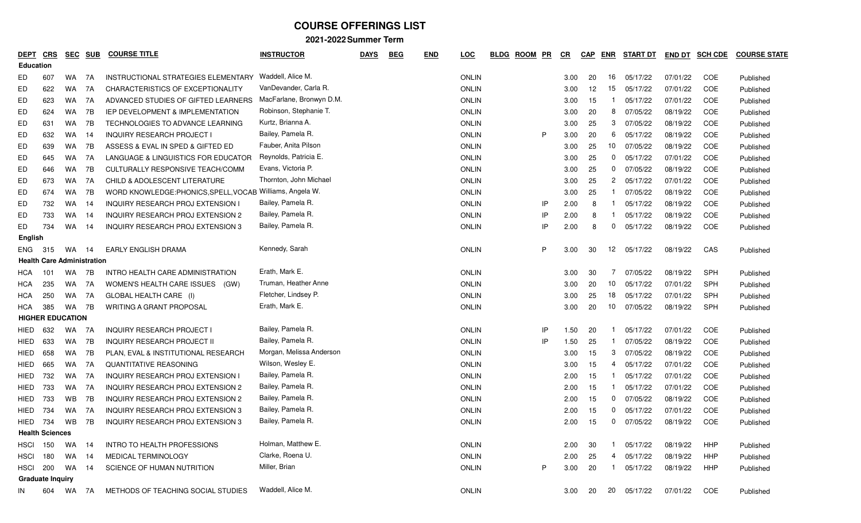| <u>DEPT</u>      | <b>CRS</b>                        | <b>SEC</b> | <b>SUB</b> | <b>COURSE TITLE</b>                                      | <b>INSTRUCTOR</b>        | <b>DAYS</b> | <b>BEG</b> | <u>END</u> | <b>LOC</b>   | <b>BLDG</b> | <b>ROOM</b> | PR | CR   | <b>CAP</b> | <b>ENR</b>   | <b>START DT</b> | <b>END DT</b> | <b>SCH CDE</b> | <b>COURSE STATE</b> |
|------------------|-----------------------------------|------------|------------|----------------------------------------------------------|--------------------------|-------------|------------|------------|--------------|-------------|-------------|----|------|------------|--------------|-----------------|---------------|----------------|---------------------|
| <b>Education</b> |                                   |            |            |                                                          |                          |             |            |            |              |             |             |    |      |            |              |                 |               |                |                     |
| ED.              | 607                               | WA         | 7A         | INSTRUCTIONAL STRATEGIES ELEMENTARY                      | Waddell, Alice M.        |             |            |            | <b>ONLIN</b> |             |             |    | 3.00 | 20         | 16           | 05/17/22        | 07/01/22      | COE            | Published           |
| ED               | 622                               | <b>WA</b>  | 7A         | CHARACTERISTICS OF EXCEPTIONALITY                        | VanDevander, Carla R.    |             |            |            | <b>ONLIN</b> |             |             |    | 3.00 | 12         | 15           | 05/17/22        | 07/01/22      | COE            | Published           |
| ED               | 623                               | WA         | 7A         | ADVANCED STUDIES OF GIFTED LEARNERS                      | MacFarlane, Bronwyn D.M. |             |            |            | <b>ONLIN</b> |             |             |    | 3.00 | 15         |              | 05/17/22        | 07/01/22      | COE            | Published           |
| ED               | 624                               | <b>WA</b>  | 7B         | <b>IEP DEVELOPMENT &amp; IMPLEMENTATION</b>              | Robinson, Stephanie T.   |             |            |            | <b>ONLIN</b> |             |             |    | 3.00 | 20         | 8            | 07/05/22        | 08/19/22      | COE            | Published           |
| ED               | 631                               | <b>WA</b>  | 7B         | TECHNOLOGIES TO ADVANCE LEARNING                         | Kurtz, Brianna A.        |             |            |            | <b>ONLIN</b> |             |             |    | 3.00 | 25         | 3            | 07/05/22        | 08/19/22      | COE            | Published           |
| ED               | 632                               | <b>WA</b>  | 14         | <b>INQUIRY RESEARCH PROJECT I</b>                        | Bailey, Pamela R.        |             |            |            | <b>ONLIN</b> |             |             | P. | 3.00 | 20         | 6            | 05/17/22        | 08/19/22      | COE            | Published           |
| ED               | 639                               | WA.        | 7B         | ASSESS & EVAL IN SPED & GIFTED ED                        | Fauber, Anita Pilson     |             |            |            | <b>ONLIN</b> |             |             |    | 3.00 | 25         | 10           | 07/05/22        | 08/19/22      | COE            | Published           |
| ED               | 645                               | WA.        | 7A         | LANGUAGE & LINGUISTICS FOR EDUCATOR                      | Reynolds, Patricia E.    |             |            |            | <b>ONLIN</b> |             |             |    | 3.00 | 25         | $\mathbf 0$  | 05/17/22        | 07/01/22      | COE            | Published           |
| ED               | 646                               | WA         | 7B         | CULTURALLY RESPONSIVE TEACH/COMM                         | Evans, Victoria P.       |             |            |            | <b>ONLIN</b> |             |             |    | 3.00 | 25         | 0            | 07/05/22        | 08/19/22      | COE            | Published           |
| ED               | 673                               | WA.        | 7A         | <b>CHILD &amp; ADOLESCENT LITERATURE</b>                 | Thornton, John Michael   |             |            |            | <b>ONLIN</b> |             |             |    | 3.00 | 25         | $\mathbf{2}$ | 05/17/22        | 07/01/22      | COE            | Published           |
| ED               | 674                               | WA         | 7B         | WORD KNOWLEDGE:PHONICS, SPELL, VOCAB Williams, Angela W. |                          |             |            |            | <b>ONLIN</b> |             |             |    | 3.00 | 25         |              | 07/05/22        | 08/19/22      | COE            | Published           |
| ED               | 732                               | WA         | 14         | INQUIRY RESEARCH PROJ EXTENSION I                        | Bailey, Pamela R.        |             |            |            | <b>ONLIN</b> |             |             | IP | 2.00 | 8          |              | 05/17/22        | 08/19/22      | COE            | Published           |
| ED               | 733                               | WA.        | 14         | INQUIRY RESEARCH PROJ EXTENSION 2                        | Bailey, Pamela R.        |             |            |            | <b>ONLIN</b> |             |             | IP | 2.00 | 8          |              | 05/17/22        | 08/19/22      | COE            | Published           |
| ED               | 734                               | WA.        | 14         | INQUIRY RESEARCH PROJ EXTENSION 3                        | Bailey, Pamela R.        |             |            |            | <b>ONLIN</b> |             |             | IP | 2.00 | 8          | 0            | 05/17/22        | 08/19/22      | COE            | Published           |
| English          |                                   |            |            |                                                          |                          |             |            |            |              |             |             |    |      |            |              |                 |               |                |                     |
| ENG              | 315                               | WA         | -14        | <b>EARLY ENGLISH DRAMA</b>                               | Kennedy, Sarah           |             |            |            | <b>ONLIN</b> |             |             | P  | 3.00 | 30         | 12           | 05/17/22        | 08/19/22      | CAS            | Published           |
|                  | <b>Health Care Administration</b> |            |            |                                                          |                          |             |            |            |              |             |             |    |      |            |              |                 |               |                |                     |
| HCA              | 101                               | <b>WA</b>  | 7B         | INTRO HEALTH CARE ADMINISTRATION                         | Erath, Mark E.           |             |            |            | <b>ONLIN</b> |             |             |    | 3.00 | 30         |              | 07/05/22        | 08/19/22      | SPH            | Published           |
| HCA              | 235                               | WA.        | 7A         | WOMEN'S HEALTH CARE ISSUES<br>(GW)                       | Truman, Heather Anne     |             |            |            | <b>ONLIN</b> |             |             |    | 3.00 | 20         | 10           | 05/17/22        | 07/01/22      | SPH            | Published           |
| HCA              | 250                               | WA.        | 7A         | GLOBAL HEALTH CARE (I)                                   | Fletcher, Lindsey P.     |             |            |            | <b>ONLIN</b> |             |             |    | 3.00 | 25         | 18           | 05/17/22        | 07/01/22      | SPH            | Published           |
| HCA              | 385                               | WA         | 7B         | WRITING A GRANT PROPOSAL                                 | Erath, Mark E.           |             |            |            | <b>ONLIN</b> |             |             |    | 3.00 | 20         | 10           | 07/05/22        | 08/19/22      | SPH            | Published           |
|                  | <b>HIGHER EDUCATION</b>           |            |            |                                                          |                          |             |            |            |              |             |             |    |      |            |              |                 |               |                |                     |
| HIED             | 632                               | WA         | - 7A       | <b>INQUIRY RESEARCH PROJECT I</b>                        | Bailey, Pamela R.        |             |            |            | <b>ONLIN</b> |             |             | IP | 1.50 | 20         |              | 05/17/22        | 07/01/22      | COE            | Published           |
| HIED             | 633                               | WA.        | 7B         | <b>INQUIRY RESEARCH PROJECT II</b>                       | Bailey, Pamela R.        |             |            |            | <b>ONLIN</b> |             |             | IP | 1.50 | 25         |              | 07/05/22        | 08/19/22      | COE            | Published           |
| HIED             | 658                               | WA         | 7B         | PLAN, EVAL & INSTITUTIONAL RESEARCH                      | Morgan, Melissa Anderson |             |            |            | <b>ONLIN</b> |             |             |    | 3.00 | 15         | 3            | 07/05/22        | 08/19/22      | COE            | Published           |
| HIED             | 665                               | <b>WA</b>  | 7A         | <b>QUANTITATIVE REASONING</b>                            | Wilson, Wesley E.        |             |            |            | <b>ONLIN</b> |             |             |    | 3.00 | 15         | 4            | 05/17/22        | 07/01/22      | COE            | Published           |
| HIED             | 732                               | <b>WA</b>  | 7A         | <b>INQUIRY RESEARCH PROJ EXTENSION I</b>                 | Bailey, Pamela R.        |             |            |            | <b>ONLIN</b> |             |             |    | 2.00 | 15         |              | 05/17/22        | 07/01/22      | COE            | Published           |
| HIED             | 733                               | WA         | 7A         | <b>INQUIRY RESEARCH PROJ EXTENSION 2</b>                 | Bailey, Pamela R.        |             |            |            | <b>ONLIN</b> |             |             |    | 2.00 | 15         |              | 05/17/22        | 07/01/22      | COE            | Published           |
| HIED             | 733                               | WB         | 7B         | INQUIRY RESEARCH PROJ EXTENSION 2                        | Bailey, Pamela R.        |             |            |            | <b>ONLIN</b> |             |             |    | 2.00 | 15         | 0            | 07/05/22        | 08/19/22      | COE            | Published           |
| HIED             | 734                               | WA.        | 7A         | <b>INQUIRY RESEARCH PROJ EXTENSION 3</b>                 | Bailey, Pamela R.        |             |            |            | <b>ONLIN</b> |             |             |    | 2.00 | 15         | 0            | 05/17/22        | 07/01/22      | COE            | Published           |
| HIED             | 734                               | WB         | 7B         | <b>INQUIRY RESEARCH PROJ EXTENSION 3</b>                 | Bailey, Pamela R.        |             |            |            | <b>ONLIN</b> |             |             |    | 2.00 | 15         | $\mathbf{0}$ | 07/05/22        | 08/19/22      | COE            | Published           |
|                  | <b>Health Sciences</b>            |            |            |                                                          |                          |             |            |            |              |             |             |    |      |            |              |                 |               |                |                     |
| <b>HSCI 150</b>  |                                   | WA         | - 14       | <b>INTRO TO HEALTH PROFESSIONS</b>                       | Holman, Matthew E.       |             |            |            | <b>ONLIN</b> |             |             |    | 2.00 | 30         |              | 05/17/22        | 08/19/22      | HHP            | Published           |
| <b>HSCI</b>      | 180                               | WA         | -14        | MEDICAL TERMINOLOGY                                      | Clarke, Roena U.         |             |            |            | <b>ONLIN</b> |             |             |    | 2.00 | 25         |              | 05/17/22        | 08/19/22      | HHP            | Published           |
| <b>HSCI</b>      | 200                               | WA         | -14        | SCIENCE OF HUMAN NUTRITION                               | Miller, Brian            |             |            |            | <b>ONLIN</b> |             |             | P  | 3.00 | 20         |              | 05/17/22        | 08/19/22      | HHP            | Published           |
|                  | <b>Graduate Inquiry</b>           |            |            |                                                          |                          |             |            |            |              |             |             |    |      |            |              |                 |               |                |                     |
| IN               | 604                               | WA 7A      |            | METHODS OF TEACHING SOCIAL STUDIES                       | Waddell, Alice M.        |             |            |            | <b>ONLIN</b> |             |             |    | 3.00 | 20         | 20           | 05/17/22        | 07/01/22      | COE            | Published           |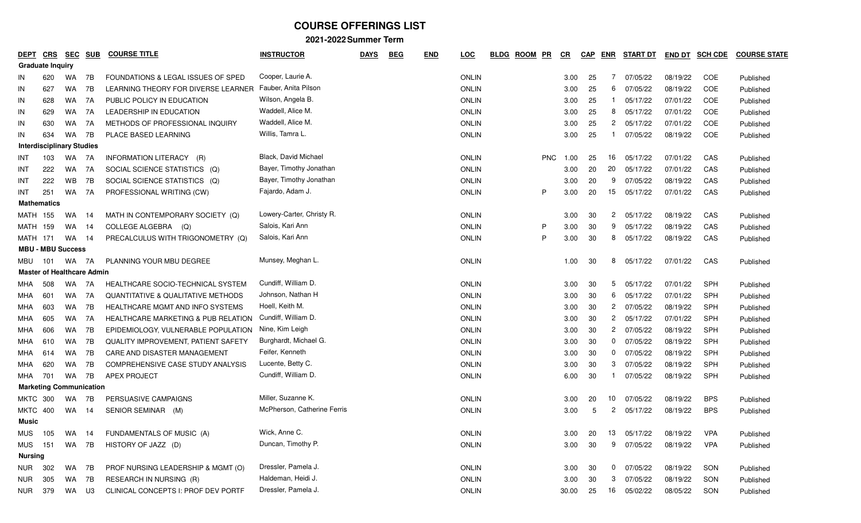| <b>DEPT</b> | <b>CRS</b>                        | <b>SEC</b> | <b>SUB</b> | <b>COURSE TITLE</b>                           | <b>INSTRUCTOR</b>           | <b>DAYS</b> | <b>BEG</b> | <b>END</b> | <b>LOC</b>   | <b>BLDG</b> | <b>ROOM</b> | $P$ R      | C <sub>R</sub> | <b>CAP</b> | <b>ENR</b>     | <b>START DT</b> | <b>END DT</b> | <b>SCH CDE</b> | <b>COURSE STATE</b> |
|-------------|-----------------------------------|------------|------------|-----------------------------------------------|-----------------------------|-------------|------------|------------|--------------|-------------|-------------|------------|----------------|------------|----------------|-----------------|---------------|----------------|---------------------|
|             | <b>Graduate Inquiry</b>           |            |            |                                               |                             |             |            |            |              |             |             |            |                |            |                |                 |               |                |                     |
| IN          | 620                               | <b>WA</b>  | 7B         | FOUNDATIONS & LEGAL ISSUES OF SPED            | Cooper, Laurie A.           |             |            |            | <b>ONLIN</b> |             |             |            | 3.00           | 25         | 7              | 07/05/22        | 08/19/22      | COE            | Published           |
| IN          | 627                               | WA         | 7B         | LEARNING THEORY FOR DIVERSE LEARNER           | Fauber, Anita Pilson        |             |            |            | <b>ONLIN</b> |             |             |            | 3.00           | 25         | 6              | 07/05/22        | 08/19/22      | COE            | Published           |
| IN          | 628                               | WA.        | 7A         | PUBLIC POLICY IN EDUCATION                    | Wilson, Angela B.           |             |            |            | <b>ONLIN</b> |             |             |            | 3.00           | 25         |                | 05/17/22        | 07/01/22      | COE            | Published           |
| IN          | 629                               | WA         | 7A         | LEADERSHIP IN EDUCATION                       | Waddell, Alice M.           |             |            |            | <b>ONLIN</b> |             |             |            | 3.00           | 25         | 8              | 05/17/22        | 07/01/22      | COE            | Published           |
| IN          | 630                               | WA.        | 7A         | METHODS OF PROFESSIONAL INQUIRY               | Waddell, Alice M.           |             |            |            | <b>ONLIN</b> |             |             |            | 3.00           | 25         | $^{2}$         | 05/17/22        | 07/01/22      | COE            | Published           |
| IN          | 634                               | <b>WA</b>  | 7B         | PLACE BASED LEARNING                          | Willis, Tamra L.            |             |            |            | <b>ONLIN</b> |             |             |            | 3.00           | 25         |                | 07/05/22        | 08/19/22      | COE            | Published           |
|             | <b>Interdisciplinary Studies</b>  |            |            |                                               |                             |             |            |            |              |             |             |            |                |            |                |                 |               |                |                     |
| INT         | 103                               | WA         | 7A         | INFORMATION LITERACY (R)                      | Black, David Michael        |             |            |            | <b>ONLIN</b> |             |             | <b>PNC</b> | 1.00           | 25         | 16             | 05/17/22        | 07/01/22      | CAS            | Published           |
| INT         | 222                               | <b>WA</b>  | 7A         | SOCIAL SCIENCE STATISTICS (Q)                 | Bayer, Timothy Jonathan     |             |            |            | <b>ONLIN</b> |             |             |            | 3.00           | 20         | 20             | 05/17/22        | 07/01/22      | CAS            | Published           |
| INT         | 222                               | WB         | 7B         | SOCIAL SCIENCE STATISTICS (Q)                 | Bayer, Timothy Jonathan     |             |            |            | <b>ONLIN</b> |             |             |            | 3.00           | 20         | 9              | 07/05/22        | 08/19/22      | CAS            | Published           |
| INT         | 251                               | WA         | 7A         | PROFESSIONAL WRITING (CW)                     | Fajardo, Adam J.            |             |            |            | <b>ONLIN</b> |             |             | P          | 3.00           | 20         | 15             | 05/17/22        | 07/01/22      | CAS            | Published           |
|             | <b>Mathematics</b>                |            |            |                                               |                             |             |            |            |              |             |             |            |                |            |                |                 |               |                |                     |
| MATH        | 155                               | WA.        | -14        | MATH IN CONTEMPORARY SOCIETY (Q)              | Lowery-Carter, Christy R.   |             |            |            | <b>ONLIN</b> |             |             |            | 3.00           | 30         | $\overline{c}$ | 05/17/22        | 08/19/22      | CAS            | Published           |
| MATH        | 159                               | WA         | -14        | COLLEGE ALGEBRA (Q)                           | Salois, Kari Ann            |             |            |            | <b>ONLIN</b> |             |             | P          | 3.00           | 30         | 9              | 05/17/22        | 08/19/22      | CAS            | Published           |
| MATH        | 171                               | WA         | -14        | PRECALCULUS WITH TRIGONOMETRY (Q)             | Salois, Kari Ann            |             |            |            | <b>ONLIN</b> |             |             | P          | 3.00           | 30         | 8              | 05/17/22        | 08/19/22      | CAS            | Published           |
|             | <b>MBU - MBU Success</b>          |            |            |                                               |                             |             |            |            |              |             |             |            |                |            |                |                 |               |                |                     |
| MBU         | 101                               | WA 7A      |            | PLANNING YOUR MBU DEGREE                      | Munsey, Meghan L.           |             |            |            | <b>ONLIN</b> |             |             |            | 1.00           | 30         | 8              | 05/17/22        | 07/01/22      | CAS            | Published           |
|             | <b>Master of Healthcare Admin</b> |            |            |                                               |                             |             |            |            |              |             |             |            |                |            |                |                 |               |                |                     |
| MHA         | 508                               | WA.        | 7A         | HEALTHCARE SOCIO-TECHNICAL SYSTEM             | Cundiff, William D.         |             |            |            | <b>ONLIN</b> |             |             |            | 3.00           | -30        | 5              | 05/17/22        | 07/01/22      | SPH            | Published           |
| MHA         | 601                               | WA         | 7A         | <b>QUANTITATIVE &amp; QUALITATIVE METHODS</b> | Johnson, Nathan H           |             |            |            | <b>ONLIN</b> |             |             |            | 3.00           | 30         | 6              | 05/17/22        | 07/01/22      | SPH            | Published           |
| MHA         | 603                               | WA         | 7B         | HEALTHCARE MGMT AND INFO SYSTEMS              | Hoell, Keith M.             |             |            |            | <b>ONLIN</b> |             |             |            | 3.00           | 30         | $^{2}$         | 07/05/22        | 08/19/22      | SPH            | Published           |
| MHA         | 605                               | WA         | 7A         | HEALTHCARE MARKETING & PUB RELATION           | Cundiff, William D.         |             |            |            | <b>ONLIN</b> |             |             |            | 3.00           | 30         | $^{2}$         | 05/17/22        | 07/01/22      | SPH            | Published           |
| MHA         | 606                               | WA.        | 7B         | EPIDEMIOLOGY, VULNERABLE POPULATION           | Nine, Kim Leigh             |             |            |            | <b>ONLIN</b> |             |             |            | 3.00           | 30         | $\mathbf{2}$   | 07/05/22        | 08/19/22      | <b>SPH</b>     | Published           |
| MHA         | 610                               | WA         | 7B         | <b>QUALITY IMPROVEMENT, PATIENT SAFETY</b>    | Burghardt, Michael G.       |             |            |            | <b>ONLIN</b> |             |             |            | 3.00           | -30        | $\mathbf{0}$   | 07/05/22        | 08/19/22      | SPH            | Published           |
| MHA         | 614                               | WA         | 7B         | CARE AND DISASTER MANAGEMENT                  | Feifer, Kenneth             |             |            |            | <b>ONLIN</b> |             |             |            | 3.00           | 30         |                | $0$ $07/05/22$  | 08/19/22      | SPH            | Published           |
| MHA         | 620                               | WA         | 7B         | COMPREHENSIVE CASE STUDY ANALYSIS             | Lucente, Betty C.           |             |            |            | <b>ONLIN</b> |             |             |            | 3.00           | 30         | 3              | 07/05/22        | 08/19/22      | SPH            | Published           |
| MHA         | 701                               | WA         | 7B         | <b>APEX PROJECT</b>                           | Cundiff, William D.         |             |            |            | <b>ONLIN</b> |             |             |            | 6.00           | 30         |                | 07/05/22        | 08/19/22      | SPH            | Published           |
|             | <b>Marketing Communication</b>    |            |            |                                               |                             |             |            |            |              |             |             |            |                |            |                |                 |               |                |                     |
|             | <b>MKTC 300</b>                   | WA         | 7B         | PERSUASIVE CAMPAIGNS                          | Miller, Suzanne K.          |             |            |            | <b>ONLIN</b> |             |             |            | 3.00           | 20         | 10             | 07/05/22        | 08/19/22      | <b>BPS</b>     | Published           |
| MKTC        | 400                               | WA 14      |            | SENIOR SEMINAR (M)                            | McPherson, Catherine Ferris |             |            |            | <b>ONLIN</b> |             |             |            | 3.00           | -5         | 2              | 05/17/22        | 08/19/22      | <b>BPS</b>     | Published           |
| Music       |                                   |            |            |                                               |                             |             |            |            |              |             |             |            |                |            |                |                 |               |                |                     |
| <b>MUS</b>  |                                   | 105 WA 14  |            | FUNDAMENTALS OF MUSIC (A)                     | Wick, Anne C.               |             |            |            | ONLIN        |             |             |            | 3.00           | 20         |                | 13 05/17/22     | 08/19/22      | <b>VPA</b>     | Published           |
| MUS         | 151                               | WA 7B      |            | HISTORY OF JAZZ (D)                           | Duncan, Timothy P.          |             |            |            | <b>ONLIN</b> |             |             |            | 3.00           | 30         | 9              | 07/05/22        | 08/19/22      | <b>VPA</b>     | Published           |
| Nursing     |                                   |            |            |                                               |                             |             |            |            |              |             |             |            |                |            |                |                 |               |                |                     |
| NUR         | 302                               | WA         | 7B         | PROF NURSING LEADERSHIP & MGMT (O)            | Dressler, Pamela J.         |             |            |            | <b>ONLIN</b> |             |             |            | 3.00           | 30         |                | 0 07/05/22      | 08/19/22      | SON            | Published           |
| NUR         | 305                               | WA         | 7B         | RESEARCH IN NURSING (R)                       | Haldeman, Heidi J.          |             |            |            | <b>ONLIN</b> |             |             |            | 3.00           | -30        |                | 3 07/05/22      | 08/19/22      | SON            | Published           |
|             | NUR 379                           | WA         | U3         | CLINICAL CONCEPTS I: PROF DEV PORTF           | Dressler, Pamela J.         |             |            |            | ONLIN        |             |             |            | 30.00          | -25        |                | 16 05/02/22     | 08/05/22      | SON            | Published           |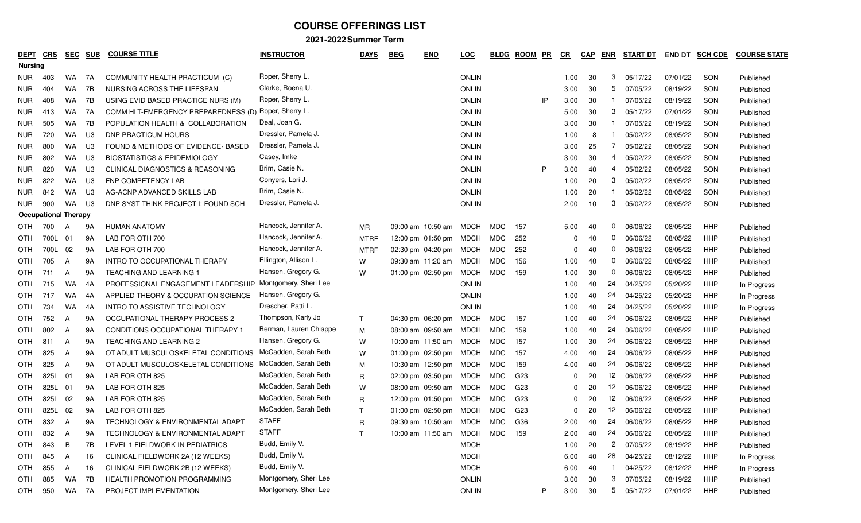| <u>DEPT</u>    | <b>CRS</b>                  | <b>SEC</b> | <b>SUB</b> | <b>COURSE TITLE</b>                         | <b>INSTRUCTOR</b>      | <b>DAYS</b>  | <b>BEG</b><br><b>END</b>   | <u>LOC</u>   | <b>BLDG</b> | <b>ROOM</b>     | <u>PR</u> | CR           | <b>CAP</b> | <b>ENR</b>   | <b>START DT</b> | <b>END DT</b> | <b>SCH CDE</b> | <b>COURSE STATE</b> |
|----------------|-----------------------------|------------|------------|---------------------------------------------|------------------------|--------------|----------------------------|--------------|-------------|-----------------|-----------|--------------|------------|--------------|-----------------|---------------|----------------|---------------------|
| <b>Nursing</b> |                             |            |            |                                             |                        |              |                            |              |             |                 |           |              |            |              |                 |               |                |                     |
| <b>NUR</b>     | 403                         | WA         | 7A         | COMMUNITY HEALTH PRACTICUM (C)              | Roper, Sherry L.       |              |                            | <b>ONLIN</b> |             |                 |           | 1.00         | 30         | 3            | 05/17/22        | 07/01/22      | SON            | Published           |
| NUR.           | 404                         | WA         | 7B         | NURSING ACROSS THE LIFESPAN                 | Clarke, Roena U.       |              |                            | <b>ONLIN</b> |             |                 |           | 3.00         | 30         | 5            | 07/05/22        | 08/19/22      | SON            | Published           |
| <b>NUR</b>     | 408                         | WA         | 7B         | USING EVID BASED PRACTICE NURS (M)          | Roper, Sherry L.       |              |                            | <b>ONLIN</b> |             |                 | IP        | 3.00         | 30         |              | 07/05/22        | 08/19/22      | SON            | Published           |
| NUR.           | 413                         | WA         | 7A         | COMM HLT-EMERGENCY PREPAREDNESS (D)         | Roper, Sherry L.       |              |                            | <b>ONLIN</b> |             |                 |           | 5.00         | 30         | 3            | 05/17/22        | 07/01/22      | SON            | Published           |
| <b>NUR</b>     | 505                         | <b>WA</b>  | 7B         | POPULATION HEALTH & COLLABORATION           | Deal, Joan G.          |              |                            | <b>ONLIN</b> |             |                 |           | 3.00         | 30         |              | 07/05/22        | 08/19/22      | SON            | Published           |
| NUR.           | 720                         | WA.        | U3         | DNP PRACTICUM HOURS                         | Dressler, Pamela J.    |              |                            | <b>ONLIN</b> |             |                 |           | 1.00         | 8          |              | 05/02/22        | 08/05/22      | SON            | Published           |
| <b>NUR</b>     | 800                         | <b>WA</b>  | U3         | FOUND & METHODS OF EVIDENCE- BASED          | Dressler, Pamela J.    |              |                            | <b>ONLIN</b> |             |                 |           | 3.00         | 25         | 7            | 05/02/22        | 08/05/22      | SON            | Published           |
| NUR.           | 802                         | WA         | U3         | <b>BIOSTATISTICS &amp; EPIDEMIOLOGY</b>     | Casey, Imke            |              |                            | <b>ONLIN</b> |             |                 |           | 3.00         | 30         | 4            | 05/02/22        | 08/05/22      | SON            | Published           |
| <b>NUR</b>     | 820                         | WA         | U3         | <b>CLINICAL DIAGNOSTICS &amp; REASONING</b> | Brim, Casie N.         |              |                            | <b>ONLIN</b> |             |                 | P         | 3.00         | 40         |              | 05/02/22        | 08/05/22      | SON            | Published           |
| <b>NUR</b>     | 822                         | <b>WA</b>  | U3         | <b>FNP COMPETENCY LAB</b>                   | Conyers, Lori J.       |              |                            | <b>ONLIN</b> |             |                 |           | 1.00         | 20         | 3            | 05/02/22        | 08/05/22      | SON            | Published           |
| <b>NUR</b>     | 842                         | <b>WA</b>  | U3         | AG-ACNP ADVANCED SKILLS LAB                 | Brim, Casie N.         |              |                            | <b>ONLIN</b> |             |                 |           | 1.00         | 20         |              | 05/02/22        | 08/05/22      | SON            | Published           |
| NUR.           | 900                         | <b>WA</b>  | U3         | DNP SYST THINK PROJECT I: FOUND SCH         | Dressler, Pamela J.    |              |                            | <b>ONLIN</b> |             |                 |           | 2.00         | 10         | 3            | 05/02/22        | 08/05/22      | SON            | Published           |
|                | <b>Occupational Therapy</b> |            |            |                                             |                        |              |                            |              |             |                 |           |              |            |              |                 |               |                |                     |
| OTH            | 700                         | A          | 9A         | <b>HUMAN ANATOMY</b>                        | Hancock, Jennifer A.   | <b>MR</b>    | 09:00 am 10:50 am          | MDCH         | MDC         | 157             |           | 5.00         | 40         | 0            | 06/06/22        | 08/05/22      | HHP            | Published           |
| OTH            | 700L                        | 01         | 9A         | LAB FOR OTH 700                             | Hancock, Jennifer A.   | <b>MTRF</b>  | 12:00 pm 01:50 pm          | <b>MDCH</b>  | MDC         | 252             |           | 0            | 40         | 0            | 06/06/22        | 08/05/22      | HHP            | Published           |
| OTH            | 700L                        | 02         | 9A         | LAB FOR OTH 700                             | Hancock, Jennifer A.   | <b>MTRF</b>  | 02:30 pm 04:20 pm          | <b>MDCH</b>  | MDC         | 252             |           |              | 40         | 0            | 06/06/22        | 08/05/22      | HHP            | Published           |
| OTH            | 705                         | A          | 9A         | INTRO TO OCCUPATIONAL THERAPY               | Ellington, Allison L.  | W            | 09:30 am 11:20 am          | MDCH         | MDC         | 156             |           | 1.00         | 40         | 0            | 06/06/22        | 08/05/22      | HHP            | Published           |
| OTH            | 711                         | A          | 9A         | <b>TEACHING AND LEARNING 1</b>              | Hansen, Gregory G.     | W            | 01:00 pm 02:50 pm          | <b>MDCH</b>  | MDC         | 159             |           | 1.00         | 30         | 0            | 06/06/22        | 08/05/22      | HHP            | Published           |
| OTH.           | 715                         | <b>WA</b>  | 4A         | PROFESSIONAL ENGAGEMENT LEADERSHIP          | Montgomery, Sheri Lee  |              |                            | <b>ONLIN</b> |             |                 |           | 1.00         | 40         | 24           | 04/25/22        | 05/20/22      | HHP            | In Progress         |
| OTH            | 717                         | <b>WA</b>  | 4A         | APPLIED THEORY & OCCUPATION SCIENCE         | Hansen, Gregory G.     |              |                            | <b>ONLIN</b> |             |                 |           | 1.00         | 40         | 24           | 04/25/22        | 05/20/22      | HHP            | In Progress         |
| OTH            | 734                         | WA         | 4A         | INTRO TO ASSISTIVE TECHNOLOGY               | Drescher, Patti L.     |              |                            | <b>ONLIN</b> |             |                 |           | 1.00         | 40         | 24           | 04/25/22        | 05/20/22      | HHP            | In Progress         |
| OTH            | 752                         | A          | 9A         | OCCUPATIONAL THERAPY PROCESS 2              | Thompson, Karly Jo     | $\mathsf{T}$ | 04:30 pm 06:20 pm          | <b>MDCH</b>  | MDC         | 157             |           | 1.00         | 40         | 24           | 06/06/22        | 08/05/22      | HHP            | Published           |
| OTH.           | 802                         | A          | 9A         | CONDITIONS OCCUPATIONAL THERAPY 1           | Berman, Lauren Chiappe | M            | 08:00 am 09:50 am          | MDCH         | MDC         | 159             |           | 1.00         | 40         | 24           | 06/06/22        | 08/05/22      | HHP            | Published           |
| OTH            | 811                         | A          | 9A         | <b>TEACHING AND LEARNING 2</b>              | Hansen, Gregory G.     | W            | 10:00 am 11:50 am          | <b>MDCH</b>  | MDC         | 157             |           | 1.00         | 30         | 24           | 06/06/22        | 08/05/22      | HHP            | Published           |
| OTH            | 825                         | A          | 9A         | OT ADULT MUSCULOSKELETAL CONDITIONS         | McCadden, Sarah Beth   | W            | 01:00 pm 02:50 pm          | MDCH         | MDC         | 157             |           | 4.00         | 40         | 24           | 06/06/22        | 08/05/22      | HHP            | Published           |
| OTH            | 825                         | A          | 9A         | OT ADULT MUSCULOSKELETAL CONDITIONS         | McCadden, Sarah Beth   | M            | 10:30 am 12:50 pm          | <b>MDCH</b>  | MDC         | 159             |           | 4.00         | 40         | 24           | 06/06/22        | 08/05/22      | HHP            | Published           |
| OTH            | 825L                        | 01         | 9A         | LAB FOR OTH 825                             | McCadden, Sarah Beth   | R            | 02:00 pm 03:50 pm          | MDCH         | MDC         | G23             |           | 0            | 20         | 12           | 06/06/22        | 08/05/22      | HHP            | Published           |
| OTH            | 825L                        | 01         | 9A         | LAB FOR OTH 825                             | McCadden, Sarah Beth   | W            | 08:00 am 09:50 am          | <b>MDCH</b>  | MDC         | G23             |           | <sup>0</sup> | 20         | 12           | 06/06/22        | 08/05/22      | HHP            | Published           |
| OTH            | 825L                        | 02         | 9A         | LAB FOR OTH 825                             | McCadden, Sarah Beth   | R            | 12:00 pm 01:50 pm          | MDCH         | MDC         | G <sub>23</sub> |           | 0            | 20         | 12           | 06/06/22        | 08/05/22      | HHP            | Published           |
| OTH            | 825L                        | 02         | 9A         | LAB FOR OTH 825                             | McCadden, Sarah Beth   | т            | 01:00 pm 02:50 pm          | <b>MDCH</b>  | MDC         | G <sub>23</sub> |           | $\Omega$     | 20         | 12           | 06/06/22        | 08/05/22      | HHP            | Published           |
| OTH            | 832                         | A          | 9A         | <b>TECHNOLOGY &amp; ENVIRONMENTAL ADAPT</b> | <b>STAFF</b>           | R            | 09:30 am 10:50 am MDCH     |              | MDC         | G36             |           | 2.00         | 40         | 24           | 06/06/22        | 08/05/22      | <b>HHP</b>     | Published           |
| OTH            | 832                         | A          | 9A         | TECHNOLOGY & ENVIRONMENTAL ADAPT            | <b>STAFF</b>           |              | 10:00 am 11:50 am MDCH MDC |              |             | 159             |           | 2.00         | 40         | 24           | 06/06/22        | 08/05/22      | <b>HHP</b>     | Published           |
| <b>OTH</b>     | 843                         | B          | 7B         | LEVEL 1 FIELDWORK IN PEDIATRICS             | Budd, Emily V.         |              |                            | <b>MDCH</b>  |             |                 |           | 1.00         | 20         | $\mathbf{2}$ | 07/05/22        | 08/19/22      | HHP            | Published           |
| OTH            | 845                         | A          | 16         | CLINICAL FIELDWORK 2A (12 WEEKS)            | Budd, Emily V.         |              |                            | <b>MDCH</b>  |             |                 |           | 6.00         | 40         | 28           | 04/25/22        | 08/12/22      | HHP            | In Progress         |
| OTH            | 855                         | A          | 16         | CLINICAL FIELDWORK 2B (12 WEEKS)            | Budd, Emily V.         |              |                            | <b>MDCH</b>  |             |                 |           | 6.00         | 40         |              | 04/25/22        | 08/12/22      | <b>HHP</b>     | In Progress         |
| OTH            | 885                         | WA         | 7B         | HEALTH PROMOTION PROGRAMMING                | Montgomery, Sheri Lee  |              |                            | <b>ONLIN</b> |             |                 |           | 3.00         | 30         | 3            | 07/05/22        | 08/19/22      | HHP            | Published           |
| OTH            | 950                         | WA 7A      |            | PROJECT IMPLEMENTATION                      | Montgomery, Sheri Lee  |              |                            | <b>ONLIN</b> |             |                 | P         | 3.00         | 30         |              | 5 05/17/22      | 07/01/22      | <b>HHP</b>     | Published           |
|                |                             |            |            |                                             |                        |              |                            |              |             |                 |           |              |            |              |                 |               |                |                     |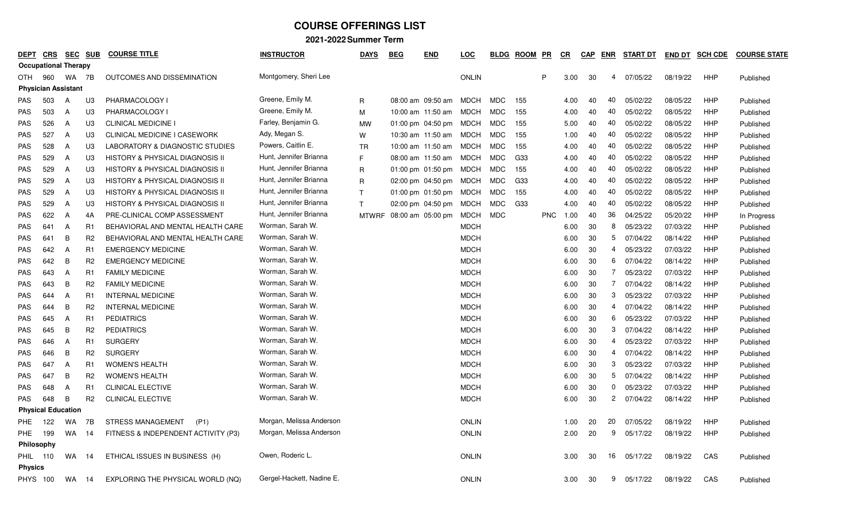| DEPT           | CRS                         |    | <b>SEC SUB</b> | <b>COURSE TITLE</b>                        | <b>INSTRUCTOR</b>         | <b>DAYS</b>  | <b>BEG</b> | <b>END</b>          | LOC          | <b>BLDG</b> | <b>ROOM</b> | PR         | CR.  | <b>CAP</b> | ENR            | <b>START DT</b> | <b>END DT</b> | <b>SCH CDE</b> | <b>COURSE STATE</b> |
|----------------|-----------------------------|----|----------------|--------------------------------------------|---------------------------|--------------|------------|---------------------|--------------|-------------|-------------|------------|------|------------|----------------|-----------------|---------------|----------------|---------------------|
|                | <b>Occupational Therapy</b> |    |                |                                            |                           |              |            |                     |              |             |             |            |      |            |                |                 |               |                |                     |
| OTH            | 960                         | WA | 7B             | OUTCOMES AND DISSEMINATION                 | Montgomery, Sheri Lee     |              |            |                     | <b>ONLIN</b> |             |             | P          | 3.00 | 30         | 4              | 07/05/22        | 08/19/22      | <b>HHP</b>     | Published           |
|                | <b>Physician Assistant</b>  |    |                |                                            |                           |              |            |                     |              |             |             |            |      |            |                |                 |               |                |                     |
| PAS            | 503                         | A  | UЗ             | PHARMACOLOGY I                             | Greene, Emily M.          | $\mathsf{R}$ |            | 08:00 am 09:50 am   | MDCH         | <b>MDC</b>  | 155         |            | 4.00 | 40         | 40             | 05/02/22        | 08/05/22      | <b>HHP</b>     | Published           |
| <b>PAS</b>     | 503                         | A  | U3             | PHARMACOLOGY I                             | Greene, Emily M.          | M            |            | 10:00 am 11:50 am   | MDCH         | MDC         | 155         |            | 4.00 | 40         | 40             | 05/02/22        | 08/05/22      | <b>HHP</b>     | Published           |
| PAS            | 526                         | A  | U3             | <b>CLINICAL MEDICINE I</b>                 | Farley, Benjamin G.       | MW           |            | 01:00 pm $04:50$ pm | MDCH         | MDC         | 155         |            | 5.00 | 40         | 40             | 05/02/22        | 08/05/22      | <b>HHP</b>     | Published           |
| PAS            | 527                         | A  | U <sub>3</sub> | <b>CLINICAL MEDICINE I CASEWORK</b>        | Ady, Megan S.             | W            |            | 10:30 am 11:50 am   | MDCH         | <b>MDC</b>  | 155         |            | 1.00 | 40         | 40             | 05/02/22        | 08/05/22      | <b>HHP</b>     | Published           |
| PAS            | 528                         | A  | U3             | LABORATORY & DIAGNOSTIC STUDIES            | Powers, Caitlin E.        | <b>TR</b>    |            | 10:00 am 11:50 am   | <b>MDCH</b>  | <b>MDC</b>  | 155         |            | 4.00 | 40         | 40             | 05/02/22        | 08/05/22      | <b>HHP</b>     | Published           |
| <b>PAS</b>     | 529                         | A  | U <sub>3</sub> | <b>HISTORY &amp; PHYSICAL DIAGNOSIS II</b> | Hunt, Jennifer Brianna    | E            |            | 08:00 am 11:50 am   | <b>MDCH</b>  | MDC         | G33         |            | 4.00 | 40         | 40             | 05/02/22        | 08/05/22      | <b>HHP</b>     | Published           |
| PAS            | 529                         | A  | U3             | <b>HISTORY &amp; PHYSICAL DIAGNOSIS II</b> | Hunt, Jennifer Brianna    | $\mathsf{R}$ |            | 01:00 pm $01:50$ pm | MDCH         | MDC         | 155         |            | 4.00 | 40         | 40             | 05/02/22        | 08/05/22      | HHP            | Published           |
| PAS            | 529                         | A  | U3             | HISTORY & PHYSICAL DIAGNOSIS II            | Hunt, Jennifer Brianna    | $\mathsf{R}$ |            | 02:00 pm 04:50 pm   | MDCH         | MDC         | G33         |            | 4.00 | 40         | 40             | 05/02/22        | 08/05/22      | <b>HHP</b>     | Published           |
| PAS            | 529                         | A  | U <sub>3</sub> | HISTORY & PHYSICAL DIAGNOSIS II            | Hunt, Jennifer Brianna    | $\mathsf{T}$ |            | 01:00 pm $01:50$ pm | MDCH         | MDC         | 155         |            | 4.00 | 40         | 40             | 05/02/22        | 08/05/22      | HHP            | Published           |
| PAS            | 529                         | A  | U3             | HISTORY & PHYSICAL DIAGNOSIS II            | Hunt, Jennifer Brianna    | $\mathsf{T}$ |            | 02:00 pm 04:50 pm   | MDCH         | MDC         | G33         |            | 4.00 | 40         | 40             | 05/02/22        | 08/05/22      | <b>HHP</b>     | Published           |
| <b>PAS</b>     | 622                         | A  | 4A             | PRE-CLINICAL COMP ASSESSMENT               | Hunt, Jennifer Brianna    | <b>MTWRF</b> |            | 08:00 am 05:00 pm   | MDCH         | MDC         |             | <b>PNC</b> | 1.00 | 40         | 36             | 04/25/22        | 05/20/22      | <b>HHP</b>     | In Progress         |
| PAS            | 641                         | A  | R1             | BEHAVIORAL AND MENTAL HEALTH CARE          | Worman, Sarah W.          |              |            |                     | <b>MDCH</b>  |             |             |            | 6.00 | 30         | 8              | 05/23/22        | 07/03/22      | <b>HHP</b>     | Published           |
| PAS            | 641                         | B  | R <sub>2</sub> | BEHAVIORAL AND MENTAL HEALTH CARE          | Worman, Sarah W.          |              |            |                     | <b>MDCH</b>  |             |             |            | 6.00 | 30         | 5              | 07/04/22        | 08/14/22      | <b>HHP</b>     | Published           |
| PAS            | 642                         | Α  | R1             | <b>EMERGENCY MEDICINE</b>                  | Worman, Sarah W.          |              |            |                     | <b>MDCH</b>  |             |             |            | 6.00 | 30         | 4              | 05/23/22        | 07/03/22      | <b>HHP</b>     | Published           |
| PAS            | 642                         | B  | R <sub>2</sub> | <b>EMERGENCY MEDICINE</b>                  | Worman, Sarah W.          |              |            |                     | <b>MDCH</b>  |             |             |            | 6.00 | 30         | 6              | 07/04/22        | 08/14/22      | <b>HHP</b>     | Published           |
| PAS            | 643                         | A  | R1             | <b>FAMILY MEDICINE</b>                     | Worman, Sarah W.          |              |            |                     | <b>MDCH</b>  |             |             |            | 6.00 | 30         | 7              | 05/23/22        | 07/03/22      | <b>HHP</b>     | Published           |
| <b>PAS</b>     | 643                         | В  | R <sub>2</sub> | <b>FAMILY MEDICINE</b>                     | Worman, Sarah W.          |              |            |                     | <b>MDCH</b>  |             |             |            | 6.00 | 30         | $\overline{7}$ | 07/04/22        | 08/14/22      | <b>HHP</b>     | Published           |
| PAS            | 644                         | A  | R1             | <b>INTERNAL MEDICINE</b>                   | Worman, Sarah W.          |              |            |                     | <b>MDCH</b>  |             |             |            | 6.00 | 30         | 3              | 05/23/22        | 07/03/22      | <b>HHP</b>     | Published           |
| <b>PAS</b>     | 644                         | B  | R <sub>2</sub> | <b>INTERNAL MEDICINE</b>                   | Worman, Sarah W.          |              |            |                     | <b>MDCH</b>  |             |             |            | 6.00 | 30         | 4              | 07/04/22        | 08/14/22      | <b>HHP</b>     | Published           |
| PAS            | 645                         | A  | R1             | <b>PEDIATRICS</b>                          | Worman, Sarah W.          |              |            |                     | <b>MDCH</b>  |             |             |            | 6.00 | 30         | 6              | 05/23/22        | 07/03/22      | <b>HHP</b>     | Published           |
| PAS            | 645                         | В  | R2             | <b>PEDIATRICS</b>                          | Worman, Sarah W.          |              |            |                     | <b>MDCH</b>  |             |             |            | 6.00 | 30         | 3              | 07/04/22        | 08/14/22      | <b>HHP</b>     | Published           |
| PAS            | 646                         | A  | R1             | <b>SURGERY</b>                             | Worman, Sarah W.          |              |            |                     | <b>MDCH</b>  |             |             |            | 6.00 | 30         | 4              | 05/23/22        | 07/03/22      | HHP            | Published           |
| PAS            | 646                         | В  | R2             | <b>SURGERY</b>                             | Worman, Sarah W.          |              |            |                     | <b>MDCH</b>  |             |             |            | 6.00 | 30         | 4              | 07/04/22        | 08/14/22      | <b>HHP</b>     | Published           |
| PAS            | 647                         | A  | R1             | <b>WOMEN'S HEALTH</b>                      | Worman, Sarah W.          |              |            |                     | <b>MDCH</b>  |             |             |            | 6.00 | 30         | 3              | 05/23/22        | 07/03/22      | <b>HHP</b>     | Published           |
| PAS            | 647                         | В  | R2             | <b>WOMEN'S HEALTH</b>                      | Worman, Sarah W.          |              |            |                     | <b>MDCH</b>  |             |             |            | 6.00 | 30         | 5              | 07/04/22        | 08/14/22      | <b>HHP</b>     | Published           |
| PAS            | 648                         | A  | R1             | <b>CLINICAL ELECTIVE</b>                   | Worman, Sarah W.          |              |            |                     | <b>MDCH</b>  |             |             |            | 6.00 | 30         | 0              | 05/23/22        | 07/03/22      | <b>HHP</b>     | Published           |
| <b>PAS</b>     | 648                         | B  | R <sub>2</sub> | CLINICAL ELECTIVE                          | Worman, Sarah W.          |              |            |                     | <b>MDCH</b>  |             |             |            | 6.00 | 30         | 2              | 07/04/22        | 08/14/22      | <b>HHP</b>     | Published           |
|                | <b>Physical Education</b>   |    |                |                                            |                           |              |            |                     |              |             |             |            |      |            |                |                 |               |                |                     |
| PHE.           | 122                         | WA | 7B             | <b>STRESS MANAGEMENT</b><br>(P1)           | Morgan, Melissa Anderson  |              |            |                     | <b>ONLIN</b> |             |             |            | 1.00 | 20         | 20             | 07/05/22        | 08/19/22      | <b>HHP</b>     | Published           |
| PHE            | 199                         | WA | -14            | FITNESS & INDEPENDENT ACTIVITY (P3)        | Morgan, Melissa Anderson  |              |            |                     | <b>ONLIN</b> |             |             |            | 2.00 | 20         | 9              | 05/17/22        | 08/19/22      | <b>HHP</b>     | Published           |
|                | Philosophy                  |    |                |                                            |                           |              |            |                     |              |             |             |            |      |            |                |                 |               |                |                     |
| PHIL           | 110                         | WA | 14             | ETHICAL ISSUES IN BUSINESS (H)             | Owen, Roderic L.          |              |            |                     | <b>ONLIN</b> |             |             |            | 3.00 | 30         | 16             | 05/17/22        | 08/19/22      | CAS            | Published           |
| <b>Physics</b> |                             |    |                |                                            |                           |              |            |                     |              |             |             |            |      |            |                |                 |               |                |                     |
|                | <b>PHYS 100</b>             | WA | 14             | EXPLORING THE PHYSICAL WORLD (NQ)          | Gergel-Hackett, Nadine E. |              |            |                     | <b>ONLIN</b> |             |             |            | 3.00 | 30         | 9              | 05/17/22        | 08/19/22      | CAS            | Published           |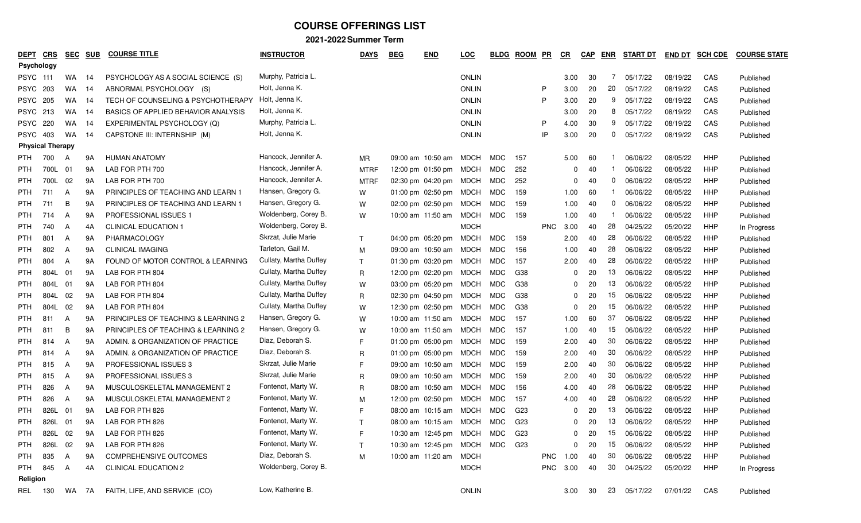| <b>DEPT</b>     | <b>CRS</b>              | <u>SEC</u> | <b>SUB</b> | <b>COURSE TITLE</b>                 | <b>INSTRUCTOR</b>      | <b>DAYS</b>  | <b>BEG</b> | <b>END</b>                  | <u>LOC</u>   | <b>BLDG</b> | <b>ROOM</b>     | PR         | $_{CR}$      | <b>CAP</b> | ENR | START DT | <b>END DT</b> | <b>SCH CDE</b> | <b>COURSE STATE</b> |
|-----------------|-------------------------|------------|------------|-------------------------------------|------------------------|--------------|------------|-----------------------------|--------------|-------------|-----------------|------------|--------------|------------|-----|----------|---------------|----------------|---------------------|
|                 | Psychology              |            |            |                                     |                        |              |            |                             |              |             |                 |            |              |            |     |          |               |                |                     |
| <b>PSYC 111</b> |                         | WA.        | -14        | PSYCHOLOGY AS A SOCIAL SCIENCE (S)  | Murphy, Patricia L.    |              |            |                             | <b>ONLIN</b> |             |                 |            | 3.00         | 30         | 7   | 05/17/22 | 08/19/22      | CAS            | Published           |
| <b>PSYC</b>     | 203                     | WA         | 14         | ABNORMAL PSYCHOLOGY (S)             | Holt, Jenna K.         |              |            |                             | <b>ONLIN</b> |             |                 | P          | 3.00         | 20         | 20  | 05/17/22 | 08/19/22      | CAS            | Published           |
| PSYC            | 205                     | WA.        | -14        | TECH OF COUNSELING & PSYCHOTHERAPY  | Holt, Jenna K.         |              |            |                             | <b>ONLIN</b> |             |                 | P          | 3.00         | 20         | 9   | 05/17/22 | 08/19/22      | CAS            | Published           |
| <b>PSYC</b>     | 213                     | WA         | 14         | BASICS OF APPLIED BEHAVIOR ANALYSIS | Holt, Jenna K.         |              |            |                             | <b>ONLIN</b> |             |                 |            | 3.00         | 20         | 8   | 05/17/22 | 08/19/22      | CAS            | Published           |
|                 | <b>PSYC 220</b>         | WA         | -14        | EXPERIMENTAL PSYCHOLOGY (Q)         | Murphy, Patricia L.    |              |            |                             | <b>ONLIN</b> |             |                 | P          | 4.00         | 30         | 9   | 05/17/22 | 08/19/22      | CAS            | Published           |
| <b>PSYC</b>     | 403                     | WA         | 14         | CAPSTONE III: INTERNSHIP (M)        | Holt, Jenna K.         |              |            |                             | <b>ONLIN</b> |             |                 | IP         | 3.00         | 20         | 0   | 05/17/22 | 08/19/22      | CAS            | Published           |
|                 | <b>Physical Therapy</b> |            |            |                                     |                        |              |            |                             |              |             |                 |            |              |            |     |          |               |                |                     |
| PTH             | 700                     | A          | 9A         | <b>HUMAN ANATOMY</b>                | Hancock, Jennifer A.   | MR           |            | 09:00 am 10:50 am           | MDCH         | MDC         | 157             |            | 5.00         | 60         |     | 06/06/22 | 08/05/22      | HHP            | Published           |
| <b>PTH</b>      | 700L                    | 01         | 9A         | LAB FOR PTH 700                     | Hancock, Jennifer A.   | <b>MTRF</b>  |            | 12:00 pm 01:50 pm           | MDCH         | MDC         | 252             |            | <sup>0</sup> | 40         |     | 06/06/22 | 08/05/22      | HHP            | Published           |
| <b>PTH</b>      | 700L                    | - 02       | 9Α         | LAB FOR PTH 700                     | Hancock, Jennifer A.   | <b>MTRF</b>  |            | 02:30 pm 04:20 pm           | MDCH         | MDC         | 252             |            |              | 40         | 0   | 06/06/22 | 08/05/22      | HHP            | Published           |
| <b>PTH</b>      | 711                     | A          | 9Α         | PRINCIPLES OF TEACHING AND LEARN 1  | Hansen, Gregory G.     | W            |            | $01:00 \text{ pm}$ 02:50 pm | MDCH         | MDC         | 159             |            | 1.00         | 60         |     | 06/06/22 | 08/05/22      | <b>HHP</b>     | Published           |
| <b>PTH</b>      | 711                     | B          | 9Α         | PRINCIPLES OF TEACHING AND LEARN 1  | Hansen, Gregory G.     | W            |            | 02:00 pm 02:50 pm           | MDCH         | MDC         | 159             |            | 1.00         | 40         | 0   | 06/06/22 | 08/05/22      | HHP            | Published           |
| <b>PTH</b>      | 714                     | A          | 9Α         | PROFESSIONAL ISSUES 1               | Woldenberg, Corey B.   | W            |            | 10:00 am 11:50 am           | MDCH         | MDC         | 159             |            | 1.00         | 40         |     | 06/06/22 | 08/05/22      | HHP            | Published           |
| <b>PTH</b>      | 740                     | A          | 4A         | <b>CLINICAL EDUCATION 1</b>         | Woldenberg, Corey B.   |              |            |                             | <b>MDCH</b>  |             |                 | <b>PNC</b> | 3.00         | 40         | 28  | 04/25/22 | 05/20/22      | HHP            | In Progress         |
| <b>PTH</b>      | 801                     | A          | 9Α         | PHARMACOLOGY                        | Skrzat, Julie Marie    | $\top$       |            | 04:00 pm 05:20 pm           | MDCH         | MDC         | 159             |            | 2.00         | 40         | 28  | 06/06/22 | 08/05/22      | HHP            | Published           |
| <b>PTH</b>      | 802                     | A          | 9Α         | <b>CLINICAL IMAGING</b>             | Tarleton, Gail M.      | M            |            | 09:00 am 10:50 am           | MDCH         | MDC         | 156             |            | 1.00         | 40         | 28  | 06/06/22 | 08/05/22      | HHP            | Published           |
| <b>PTH</b>      | 804                     | A          | 9Α         | FOUND OF MOTOR CONTROL & LEARNING   | Cullaty, Martha Duffey | $\top$       |            | 01:30 pm 03:20 pm           | MDCH MDC     |             | 157             |            | 2.00         | 40         | 28  | 06/06/22 | 08/05/22      | HHP            | Published           |
| <b>PTH</b>      | 804L                    | 01         | 9Α         | LAB FOR PTH 804                     | Cullaty, Martha Duffey | R            |            | 12:00 pm 02:20 pm           | MDCH         | MDC         | G38             |            | <sup>0</sup> | 20         | 13  | 06/06/22 | 08/05/22      | HHP            | Published           |
| <b>PTH</b>      | 804L                    | 01         | 9Α         | LAB FOR PTH 804                     | Cullaty, Martha Duffey | W            |            | 03:00 pm 05:20 pm           | MDCH         | MDC         | G38             |            |              | 20         | 13  | 06/06/22 | 08/05/22      | HHP            | Published           |
| <b>PTH</b>      | 804L                    | 02         | 9Α         | LAB FOR PTH 804                     | Cullaty, Martha Duffey | R            |            | 02:30 pm 04:50 pm           | MDCH         | MDC         | G38             |            |              | 20         | 15  | 06/06/22 | 08/05/22      | HHP            | Published           |
| <b>PTH</b>      | 804L                    | 02         | 9A         | LAB FOR PTH 804                     | Cullaty, Martha Duffey | W            |            | 12:30 pm 02:50 pm           | MDCH         | MDC         | G38             |            |              | 20         | 15  | 06/06/22 | 08/05/22      | HHP            | Published           |
| <b>PTH</b>      | 811                     | A          | 9A         | PRINCIPLES OF TEACHING & LEARNING 2 | Hansen, Gregory G.     | W            |            | 10:00 am 11:50 am           | MDCH         | MDC         | 157             |            | 1.00         | 60         | 37  | 06/06/22 | 08/05/22      | HHP            | Published           |
| <b>PTH</b>      | 811                     | B          | 9A         | PRINCIPLES OF TEACHING & LEARNING 2 | Hansen, Gregory G.     | W            |            | 10:00 am 11:50 am           | MDCH         | MDC         | 157             |            | 1.00         | 40         | 15  | 06/06/22 | 08/05/22      | HHP            | Published           |
| <b>PTH</b>      | 814                     | A          | 9Α         | ADMIN. & ORGANIZATION OF PRACTICE   | Diaz, Deborah S.       | F            |            | 01:00 pm $05:00$ pm         | MDCH         | MDC         | 159             |            | 2.00         | 40         | 30  | 06/06/22 | 08/05/22      | HHP            | Published           |
| <b>PTH</b>      | 814                     | A          | 9Α         | ADMIN. & ORGANIZATION OF PRACTICE   | Diaz, Deborah S.       | $\mathsf{R}$ |            | 01:00 pm $05:00$ pm         | MDCH         | MDC         | 159             |            | 2.00         | 40         | 30  | 06/06/22 | 08/05/22      | HHP            | Published           |
| <b>PTH</b>      | 815                     | A          | 9Α         | PROFESSIONAL ISSUES 3               | Skrzat, Julie Marie    | E            |            | 09:00 am 10:50 am           | MDCH         | MDC         | 159             |            | 2.00         | 40         | 30  | 06/06/22 | 08/05/22      | HHP            | Published           |
| <b>PTH</b>      | 815                     | A          | 9Α         | PROFESSIONAL ISSUES 3               | Skrzat, Julie Marie    | R            |            | 09:00 am 10:50 am           | MDCH         | MDC         | 159             |            | 2.00         | 40         | 30  | 06/06/22 | 08/05/22      | HHP            | Published           |
| <b>PTH</b>      | 826                     | A          | 9Α         | MUSCULOSKELETAL MANAGEMENT 2        | Fontenot, Marty W.     | R            |            | 08:00 am 10:50 am           | MDCH         | MDC         | 156             |            | 4.00         | 40         | 28  | 06/06/22 | 08/05/22      | HHP            | Published           |
| <b>PTH</b>      | 826                     | A          | 9Α         | MUSCULOSKELETAL MANAGEMENT 2        | Fontenot, Marty W.     | М            |            | 12:00 pm 02:50 pm           | MDCH         | MDC         | 157             |            | 4.00         | 40         | 28  | 06/06/22 | 08/05/22      | HHP            | Published           |
| <b>PTH</b>      | 826L                    | 01         | 9Α         | LAB FOR PTH 826                     | Fontenot, Marty W.     | F            |            | 08:00 am 10:15 am           | MDCH         | MDC         | G23             |            | <sup>0</sup> | 20         | 13  | 06/06/22 | 08/05/22      | HHP            | Published           |
| <b>PTH</b>      | 826L                    | 01         | 9A         | LAB FOR PTH 826                     | Fontenot, Marty W.     | $\mathsf{T}$ |            | 08:00 am 10:15 am MDCH      |              | MDC         | G <sub>23</sub> |            | $\Omega$     | 20         | 13  | 06/06/22 | 08/05/22      | HHP            | Published           |
| <b>PTH</b>      | 826L 02                 |            | 9A         | LAB FOR PTH 826                     | Fontenot, Marty W.     | F.           |            | 10:30 am 12:45 pm MDCH MDC  |              |             | G23             |            | $\Omega$     | 20         | 15  | 06/06/22 | 08/05/22      | HHP            | Published           |
| <b>PTH</b>      | 826L                    | 02         | 9Α         | LAB FOR PTH 826                     | Fontenot, Marty W.     | $\mathsf{T}$ |            | 10:30 am 12:45 pm MDCH MDC  |              |             | G23             |            | 0            | 20         | 15  | 06/06/22 | 08/05/22      | HHP            | Published           |
| <b>PTH</b>      | 835                     | A          | 9A         | COMPREHENSIVE OUTCOMES              | Diaz, Deborah S.       | M            |            | 10:00 am 11:20 am MDCH      |              |             |                 | <b>PNC</b> | 1.00         | 40         | 30  | 06/06/22 | 08/05/22      | HHP            | Published           |
| <b>PTH</b>      | 845                     | A          | 4A         | <b>CLINICAL EDUCATION 2</b>         | Woldenberg, Corey B.   |              |            |                             | <b>MDCH</b>  |             |                 | <b>PNC</b> | 3.00         | 40         | 30  | 04/25/22 | 05/20/22      | HHP            | In Progress         |
| Religion        |                         |            |            |                                     |                        |              |            |                             |              |             |                 |            |              |            |     |          |               |                |                     |
| REL             | 130                     | WA 7A      |            | FAITH, LIFE, AND SERVICE (CO)       | Low, Katherine B.      |              |            |                             | <b>ONLIN</b> |             |                 |            | 3.00         | 30         | 23  | 05/17/22 | 07/01/22      | CAS            | Published           |